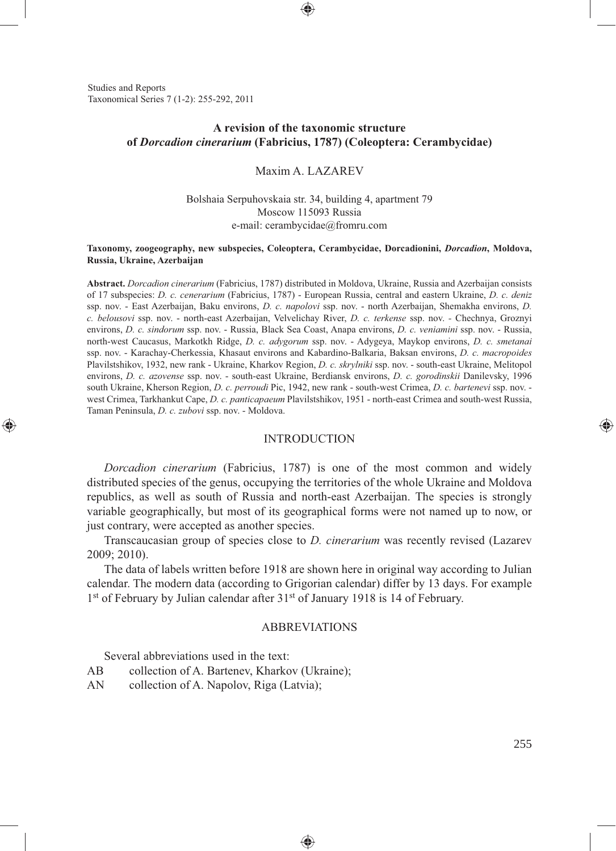Studies and Reports Taxonomical Series 7 (1-2): 255-292, 2011

⊕

## **A revision of the taxonomic structure of** *Dorcadion cinerarium* **(Fabricius, 1787) (Coleoptera: Cerambycidae)**

#### Maxim A. LAZAREV

### Bolshaia Serpuhovskaia str. 34, building 4, apartment 79 Moscow 115093 Russia e-mail: cerambycidae@fromru.com

#### **Taxonomy, zoogeography, new subspecies, Coleoptera, Cerambycidae, Dorcadionini,** *Dorcadion***, Moldova, Russia, Ukraine, Azerbaijan**

**Abstract.** *Dorcadion cinerarium* (Fabricius, 1787) distributed in Moldova, Ukraine, Russia and Azerbaijan consists of 17 subspecies: *D. c. cenerarium* (Fabricius, 1787) - European Russia, central and eastern Ukraine, *D. c. deniz* ssp. nov. - East Azerbaijan, Baku environs, *D. c. napolovi* ssp. nov. - north Azerbaijan, Shemakha environs, *D. c. belousovi* ssp. nov. - north-east Azerbaijan, Velvelichay River, *D. c. terkense* ssp. nov. *-* Chechnya, Groznyi environs, *D. c. sindorum* ssp. nov. - Russia, Black Sea Coast, Anapa environs, *D. c. veniamini* ssp. nov. - Russia, north-west Caucasus, Markotkh Ridge, *D. c. adygorum* ssp. nov. - Adygeya, Maykop environs, *D. c. smetanai* ssp. nov. - Karachay-Cherkessia, Khasaut environs and Kabardino-Balkaria, Baksan environs, *D. с. macropoides*  Plavilstshikov, 1932, new rank - Ukraine, Kharkov Region, *D. c. skrylniki* ssp. nov. - south-east Ukraine, Melitopol environs, *D. c. azovense* ssp. nov. - south-east Ukraine, Berdiansk environs, *D. c. gorodinskii* Danilevsky, 1996 south Ukraine, Kherson Region, *D. c. perroudi* Pic, 1942, new rank - south-west Crimea, *D. c. bartenevi* ssp. nov. west Crimea, Tarkhankut Cape, *D. c. panticapaeum* Plavilstshikov, 1951 - north-east Crimea and south-west Russia, Taman Peninsula, *D. c. zubovi* ssp. nov. - Moldova.

#### INTRODUCTION

*Dorcadion cinerarium* (Fabricius, 1787) is one of the most common and widely distributed species of the genus, occupying the territories of the whole Ukraine and Moldova republics, as well as south of Russia and north-east Azerbaijan. The species is strongly variable geographically, but most of its geographical forms were not named up to now, or just contrary, were accepted as another species.

Transcaucasian group of species close to *D. cinerarium* was recently revised (Lazarev 2009; 2010).

The data of labels written before 1918 are shown here in original way according to Julian calendar. The modern data (according to Grigorian calendar) differ by 13 days. For example 1st of February by Julian calendar after 31st of January 1918 is 14 of February.

### ABBREVIATIONS

♠

Several abbreviations used in the text:

- AB collection of A. Bartenev, Kharkov (Ukraine);
- AN collection of A. Napolov, Riga (Latvia);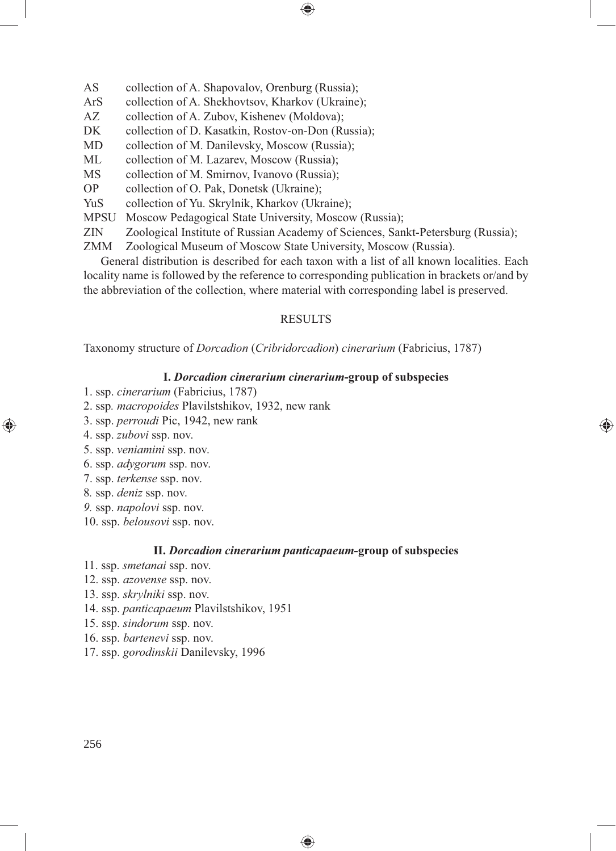- AS collection of A. Shapovalov, Orenburg (Russia);
- ArS collection of A. Shekhovtsov, Kharkov (Ukraine);
- AZ collection of A. Zubov, Kishenev (Moldova);
- DK collection of D. Kasatkin, Rostov-on-Don (Russia);
- MD collection of M. Danilevsky, Moscow (Russia);
- ML collection of M. Lazarev, Moscow (Russia);
- MS collection of M. Smirnov, Ivanovo (Russia);
- OP collection of O. Pak, Donetsk (Ukraine);
- YuS collection of Yu. Skrylnik, Kharkov (Ukraine);
- MPSU Moscow Pedagogical State University, Moscow (Russia);<br>ZIN Zoological Institute of Russian Academy of Sciences. San
- Zoological Institute of Russian Academy of Sciences, Sankt-Petersburg (Russia);

⊕

ZMM Zoological Museum of Moscow State University, Moscow (Russia).

General distribution is described for each taxon with a list of all known localities. Each locality name is followed by the reference to corresponding publication in brackets or/and by the abbreviation of the collection, where material with corresponding label is preserved.

### RESULTS

Taxonomy structure of *Dorcadion* (*Cribridorcadion*) *cinerarium* (Fabricius, 1787)

#### **I.** *Dorcadion cinerarium cinerarium***-group of subspecies**

⊕

- 1. ssp. *cinerarium* (Fabricius, 1787)
- 2. ssp*. macropoides* Plavilstshikov, 1932, new rank
- 3. ssp. *perroudi* Pic, 1942, new rank
- 4. ssp. *zubovi* ssp. nov.

◈

- 5. ssp. *veniamini* ssp. nov.
- 6. ssp. *adygorum* ssp. nov.
- 7. ssp. *terkense* ssp. nov.
- 8*.* ssp. *deniz* ssp. nov.
- *9.* ssp. *napolovi* ssp. nov.
- 10. ssp. *belousovi* ssp. nov.

#### **II.** *Dorcadion cinerarium panticapaeum***-group of subspecies**

◈

- 11. ssp. *smetanai* ssp. nov.
- 12. ssp. *azovense* ssp. nov.
- 13. ssp. *skrylniki* ssp. nov.
- 14. ssp. *panticapaeum* Plavilstshikov, 1951
- 15. ssp. *sindorum* ssp. nov.
- 16. ssp. *bartenevi* ssp. nov.
- 17. ssp. *gorodinskii* Danilevsky, 1996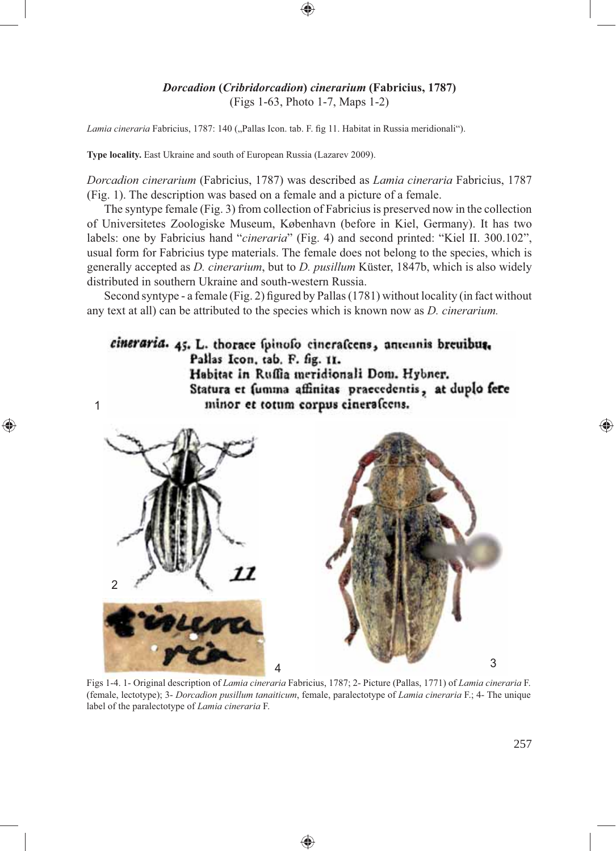### *Dorcadion* **(***Cribridorcadion***)** *cinerarium* **(Fabricius, 1787)** (Figs 1-63, Photo 1-7, Maps 1-2)

Lamia cineraria Fabricius, 1787: 140 ("Pallas Icon. tab. F. fig 11. Habitat in Russia meridionali").

**Type locality.** East Ukraine and south of European Russia (Lazarev 2009).

1

⊕

*Dorcadion cinerarium* (Fabricius, 1787) was described as *Lamia cineraria* Fabricius, 1787 (Fig. 1). The description was based on a female and a picture of a female.

The syntype female (Fig. 3) from collection of Fabricius is preserved now in the collection of Universitetes Zoologiske Museum, København (before in Kiel, Germany). It has two labels: one by Fabricius hand "*cineraria*" (Fig. 4) and second printed: "Kiel II. 300.102", usual form for Fabricius type materials. The female does not belong to the species, which is generally accepted as *D. cinerarium*, but to *D. pusillum* Küster, 1847b, which is also widely distributed in southern Ukraine and south-western Russia.

Second syntype - a female (Fig. 2) figured by Pallas (1781) without locality (in fact without any text at all) can be attributed to the species which is known now as *D. cinerarium.*

cineraria. 45. L. thorace fpinofo cinerafcens, antennis breuibus. Pallas Icon, tab. F. fig. 11. Habitat in Ruffia meridionali Dom. Hybner. Statura et fumma affinitas praecedentis, at duplo fere minor et totum corpus cineralcens.



Figs 1-4. 1- Original description of *Lamia cineraria* Fabricius, 1787; 2- Picture (Pallas, 1771) of *Lamia cineraria* F. (female, lectotype); 3- *Dorcadion pusillum tanaiticum*, female, paralectotype of *Lamia cineraria* F.; 4- The unique label of the paralectotype of *Lamia cineraria* F.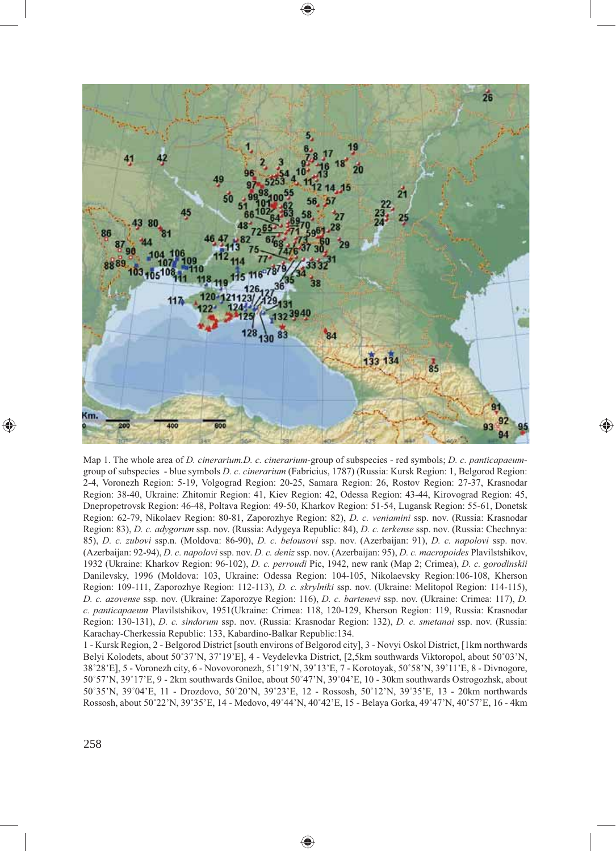

 $\textcolor{red}{\textcircled{\footnotesize{1}}\ }$ 

Map 1. The whole area of *D. cinerarium.D. c. cinerarium*-group of subspecies - red symbols; *D. c. panticapaeum*group of subspecies - blue symbols *D. c. cinerarium* (Fabricius, 1787) (Russia: Kursk Region: 1, Belgorod Region: 2-4, Voronezh Region: 5-19, Volgograd Region: 20-25, Samara Region: 26, Rostov Region: 27-37, Krasnodar Region: 38-40, Ukraine: Zhitomir Region: 41, Kiev Region: 42, Odessa Region: 43-44, Kirovograd Region: 45, Dnepropetrovsk Region: 46-48, Poltava Region: 49-50, Kharkov Region: 51-54, Lugansk Region: 55-61, Donetsk Region: 62-79, Nikolaev Region: 80-81, Zaporozhye Region: 82), *D. c. veniamini* ssp. nov. (Russia: Krasnodar Region: 83), *D. c. adygorum* ssp. nov. (Russia: Adygeya Republic: 84), *D. c. terkense* ssp. nov. (Russia: Chechnya: 85), *D. c. zubovi* ssp.n. (Moldova: 86-90), *D. c. belousovi* ssp. nov. (Azerbaijan: 91), *D. c. napolovi* ssp. nov. (Azerbaijan: 92-94), *D. c. napolovi* ssp. nov. *D. c. deniz* ssp. nov. (Azerbaijan: 95), *D. c. macropoides* Plavilstshikov, 1932 (Ukraine: Kharkov Region: 96-102), *D. c. perroudi* Pic, 1942, new rank (Map 2; Crimea), *D. c. gorodinskii*  Danilevsky, 1996 (Moldova: 103, Ukraine: Odessa Region: 104-105, Nikolaevsky Region:106-108, Kherson Region: 109-111, Zaporozhye Region: 112-113), *D. c. skrylniki* ssp. nov. (Ukraine: Melitopol Region: 114-115), *D. c. azovense* ssp. nov. (Ukraine: Zaporozye Region: 116), *D. c. bartenevi* ssp. nov. (Ukraine: Crimea: 117), *D. c. panticapaeum* Plavilstshikov, 1951(Ukraine: Crimea: 118, 120-129, Kherson Region: 119, Russia: Krasnodar Region: 130-131), *D. c. sindorum* ssp. nov. (Russia: Krasnodar Region: 132), *D. c. smetanai* ssp. nov. (Russia: Karachay-Cherkessia Republic: 133, Kabardino-Balkar Republic:134.

◈

1 - Kursk Region, 2 - Belgorod District [south environs of Belgorod city], 3 - Novyi Oskol District, [1km northwards Belyi Kolodets, about 50˚37'N, 37˚19'E], 4 - Veydelevka District, [2,5km southwards Viktoropol, about 50˚03'N, 38˚28'E], 5 - Voronezh city, 6 - Novovoronezh, 51˚19'N, 39˚13'E, 7 - Korotoyak, 50˚58'N, 39˚11'E, 8 - Divnogore, 50˚57'N, 39˚17'E, 9 - 2km southwards Gniloe, about 50˚47'N, 39˚04'E, 10 - 30km southwards Ostrogozhsk, about 50˚35'N, 39˚04'E, 11 - Drozdovo, 50˚20'N, 39˚23'E, 12 - Rossosh, 50˚12'N, 39˚35'E, 13 - 20km northwards Rossosh, about 50˚22'N, 39˚35'E, 14 - Medovo, 49˚44'N, 40˚42'E, 15 - Belaya Gorka, 49˚47'N, 40˚57'E, 16 - 4km

⊕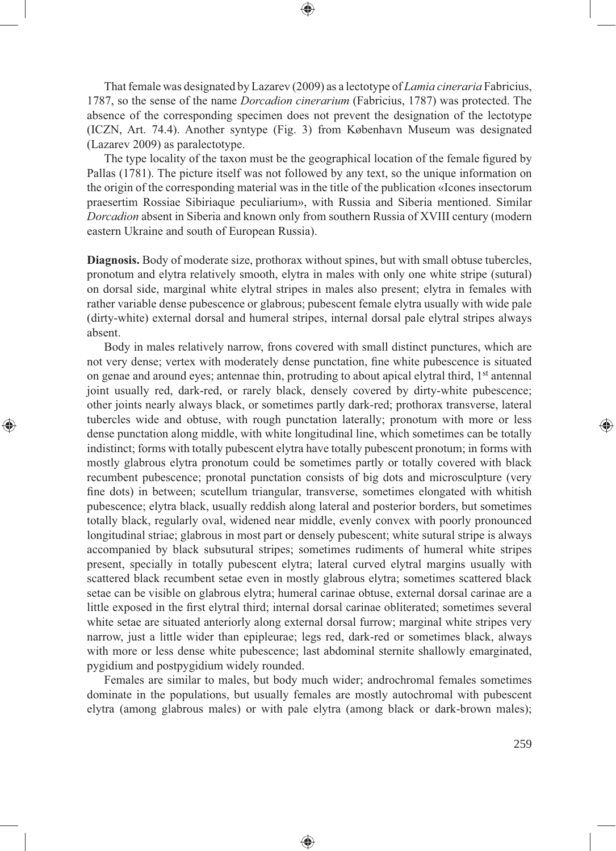That female was designated by Lazarev (2009) as a lectotype of *Lamia cineraria* Fabricius, 1787, so the sense of the name *Dorcadion cinerarium* (Fabricius, 1787) was protected. The absence of the corresponding specimen does not prevent the designation of the lectotype (ICZN, Art. 74.4). Another syntype (Fig. 3) from København Museum was designated (Lazarev 2009) as paralectotype.

The type locality of the taxon must be the geographical location of the female figured by Pallas (1781). The picture itself was not followed by any text, so the unique information on the origin of the corresponding material was in the title of the publication «Icones insectorum praesertim Rossiae Sibiriaque peculiarium», with Russia and Siberia mentioned. Similar *Dorcadion* absent in Siberia and known only from southern Russia of XVIII century (modern eastern Ukraine and south of European Russia).

**Diagnosis.** Body of moderate size, prothorax without spines, but with small obtuse tubercles, pronotum and elytra relatively smooth, elytra in males with only one white stripe (sutural) on dorsal side, marginal white elytral stripes in males also present; elytra in females with rather variable dense pubescence or glabrous; pubescent female elytra usually with wide pale (dirty-white) external dorsal and humeral stripes, internal dorsal pale elytral stripes always absent.

Body in males relatively narrow, frons covered with small distinct punctures, which are not very dense; vertex with moderately dense punctation, fine white pubescence is situated on genae and around eyes; antennae thin, protruding to about apical elytral third, 1st antennal joint usually red, dark-red, or rarely black, densely covered by dirty-white pubescence; other joints nearly always black, or sometimes partly dark-red; prothorax transverse, lateral tubercles wide and obtuse, with rough punctation laterally; pronotum with more or less dense punctation along middle, with white longitudinal line, which sometimes can be totally indistinct; forms with totally pubescent elytra have totally pubescent pronotum; in forms with mostly glabrous elytra pronotum could be sometimes partly or totally covered with black recumbent pubescence; pronotal punctation consists of big dots and microsculpture (very fine dots) in between; scutellum triangular, transverse, sometimes elongated with whitish pubescence; elytra black, usually reddish along lateral and posterior borders, but sometimes totally black, regularly oval, widened near middle, evenly convex with poorly pronounced longitudinal striae; glabrous in most part or densely pubescent; white sutural stripe is always accompanied by black subsutural stripes; sometimes rudiments of humeral white stripes present, specially in totally pubescent elytra; lateral curved elytral margins usually with scattered black recumbent setae even in mostly glabrous elytra; sometimes scattered black setae can be visible on glabrous elytra; humeral carinae obtuse, external dorsal carinae are a little exposed in the first elytral third; internal dorsal carinae obliterated; sometimes several white setae are situated anteriorly along external dorsal furrow; marginal white stripes very narrow, just a little wider than epipleurae; legs red, dark-red or sometimes black, always with more or less dense white pubescence; last abdominal sternite shallowly emarginated, pygidium and postpygidium widely rounded.

⊕

Females are similar to males, but body much wider; androchromal females sometimes dominate in the populations, but usually females are mostly autochromal with pubescent elytra (among glabrous males) or with pale elytra (among black or dark-brown males);

◈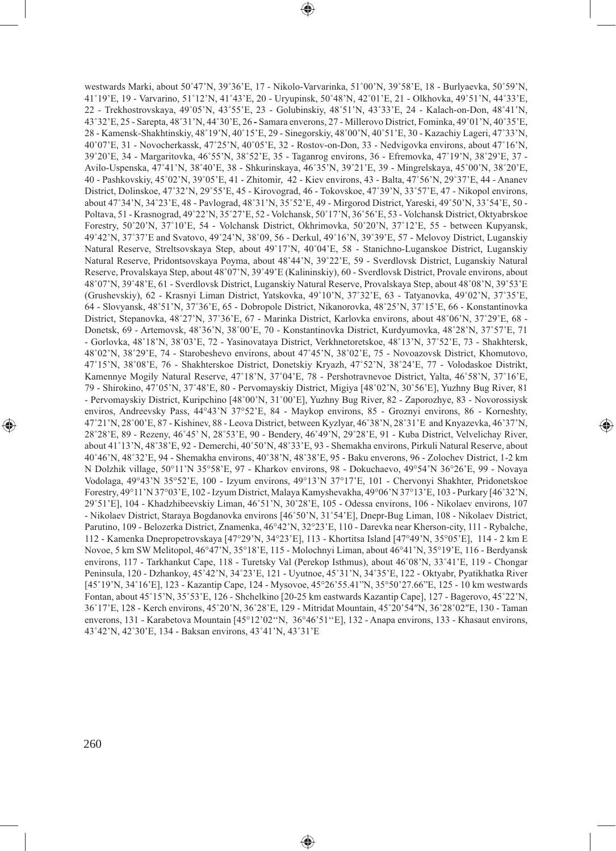westwards Marki, about 50˚47'N, 39˚36'E, 17 - Nikolo-Varvarinka, 51˚00'N, 39˚58'E, 18 - Burlyaevka, 50˚59'N, 41˚19'E, 19 - Varvarino, 51˚12'N, 41˚43'E, 20 - Uryupinsk, 50˚48'N, 42˚01'E, 21 - Olkhovka, 49˚51'N, 44˚33'E, 22 - Trekhostrovskaya, 49˚05'N, 43˚55'E, 23 - Golubinskiy, 48˚51'N, 43˚33'E, 24 - Kalach-on-Don, 48˚41'N, 43˚32'E, 25 - Sarepta, 48˚31'N, 44˚30'E, 26 **-** Samara enverons, 27 - Millerovo District, Fominka, 49˚01'N, 40˚35'E, 28 - Kamensk-Shakhtinskiy, 48˚19'N, 40˚15'E, 29 - Sinegorskiy, 48˚00'N, 40˚51'E, 30 - Kazachiy Lageri, 47˚33'N, 40˚07'E, 31 - Novocherkassk, 47˚25'N, 40˚05'E, 32 - Rostov-on-Don, 33 - Nedvigovka environs, about 47˚16'N, 39˚20'E, 34 - Margaritovka, 46˚55'N, 38˚52'E, 35 - Taganrog environs, 36 - Efremovka, 47˚19'N, 38˚29'E, 37 - Avilo-Uspenska, 47˚41'N, 38˚40'E, 38 - Shkurinskaya, 46˚35'N, 39˚21'E, 39 - Mingrelskaya, 45˚00'N, 38˚20'E, 40 - Pashkovskiy, 45˚02'N, 39˚05'E, 41 - Zhitomir, 42 - Kiev environs, 43 - Balta, 47˚56'N, 29˚37'E, 44 - Ananev District, Dolinskoe, 47˚32'N, 29˚55'E, 45 - Kirovograd, 46 - Tokovskoe, 47˚39'N, 33˚57'E, 47 - Nikopol environs, about 47˚34'N, 34˚23'E, 48 - Pavlograd, 48˚31'N, 35˚52'E, 49 - Mirgorod District, Yareski, 49˚50'N, 33˚54'E, 50 - Poltava, 51 - Krasnograd, 49˚22'N, 35˚27'E, 52 - Volchansk, 50˚17'N, 36˚56'E, 53 - Volchansk District, Oktyabrskoe Forestry, 50˚20'N, 37˚10'E, 54 - Volchansk District, Okhrimovka, 50˚20'N, 37˚12'E, 55 - between Kupyansk, 49˚42'N, 37˚37'E and Svatovo, 49˚24'N, 38˚09, 56 - Derkul, 49˚16'N, 39˚39'E, 57 - Melovoy District, Luganskiy Natural Reserve, Streltsovskaya Step, about 49˚17'N, 40˚04'E, 58 - Stanichno-Luganskoe District, Luganskiy Natural Reserve, Pridontsovskaya Poyma, about 48˚44'N, 39˚22'E, 59 - Sverdlovsk District, Luganskiy Natural Reserve, Provalskaya Step, about 48˚07'N, 39˚49'E (Kalininskiy), 60 - Sverdlovsk District, Provale environs, about 48˚07'N, 39˚48'E, 61 - Sverdlovsk District, Luganskiy Natural Reserve, Provalskaya Step, about 48˚08'N, 39˚53'E (Grushevskiy), 62 - Krasnyi Liman District, Yatskovka, 49˚10'N, 37˚32'E, 63 - Tatyanovka, 49˚02'N, 37˚35'E, 64 - Slovyansk, 48˚51'N, 37˚36'E, 65 - Dobropole District, Nikanorovka, 48˚25'N, 37˚15'E, 66 - Konstantinovka District, Stepanovka, 48˚27'N, 37˚36'E, 67 - Marinka District, Karlovka environs, about 48˚06'N, 37˚29'E, 68 - Donetsk, 69 - Artemovsk, 48˚36'N, 38˚00'E, 70 - Konstantinovka District, Kurdyumovka, 48˚28'N, 37˚57'E, 71 - Gorlovka, 48˚18'N, 38˚03'E, 72 - Yasinovataya District, Verkhnetoretskoe, 48˚13'N, 37˚52'E, 73 - Shakhtersk, 48˚02'N, 38˚29'E, 74 - Starobeshevo environs, about 47˚45'N, 38˚02'E, 75 - Novoazovsk District, Khomutovo, 47˚15'N, 38˚08'E, 76 - Shakhterskoe District, Donetskiy Kryazh, 47˚52'N, 38˚24'E, 77 - Volodaskoe Distrikt, Kamennye Mogily Natural Reserve, 47˚18'N, 37˚04'E, 78 - Pershotravnevoe District, Yalta, 46˚58'N, 37˚16'E, 79 - Shirokino, 47˚05'N, 37˚48'E, 80 - Pervomayskiy District, Migiya [48˚02'N, 30˚56'E], Yuzhny Bug River, 81 - Pervomayskiy District, Kuripchino [48˚00'N, 31˚00'E], Yuzhny Bug River, 82 - Zaporozhye, 83 - Novorossiysk enviros, Andreevsky Pass, 44°43'N 37°52'E, 84 - Maykop environs, 85 - Groznyi environs, 86 - Korneshty, 47˚21'N, 28˚00'E, 87 - Kishinev, 88 - Leova District, between Kyzlyar, 46˚38'N, 28˚31'E and Knyazevka, 46˚37'N, 28˚28'E, 89 - Rezeny, 46˚45' N, 28˚53'E, 90 - Bendery, 46˚49'N, 29˚28'E, 91 - Kuba District, Velvelichay River, about 41˚13'N, 48˚38'E, 92 - Demerchi, 40˚50'N, 48˚33'E, 93 - Shemakha environs, Pirkuli Natural Reserve, about 40˚46'N, 48˚32'E, 94 - Shemakha environs, 40˚38'N, 48˚38'E, 95 - Baku enverons, 96 - Zolochev District, 1-2 km N Dolzhik village, 50°11'N 35°58'E, 97 - Kharkov environs, 98 - Dokuchaevo, 49°54'N 36°26'E, 99 - Novaya Vodolaga, 49°43'N 35°52'E, 100 - Izyum environs, 49°13'N 37°17'E, 101 - Chervonyi Shakhter, Pridonetskoe Forestry, 49°11'N 37°03'E, 102 - Izyum District, Malaya Kamyshevakha, 49°06'N 37°13'E, 103 - Purkary [46˚32'N, 29˚51'E], 104 - Khadzhibeevskiy Liman, 46˚51'N, 30˚28'E, 105 - Odessa environs, 106 - Nikolaev environs, 107 - Nikolaev District, Staraya Bogdanovka environs [46˚50'N, 31˚54'E], Dnepr-Bug Liman, 108 - Nikolaev District, Parutino, 109 - Belozerka District, Znamenka, 46°42'N, 32°23'E, 110 - Darevka near Kherson-city, 111 - Rybalche, 112 - Kamenka Dnepropetrovskaya [47°29'N, 34°23'E], 113 - Khortitsa Island [47°49'N, 35°05'E], 114 - 2 km E Novoe, 5 km SW Melitopol, 46°47'N, 35°18'E, 115 - Molochnyi Liman, about 46°41'N, 35°19'E, 116 - Berdyansk environs, 117 - Tarkhankut Cape, 118 - Turetsky Val (Perekop Isthmus), about 46˚08'N, 33˚41'E, 119 - Chongar Peninsula, 120 - Dzhankoy, 45˚42'N, 34˚23'E, 121 - Uyutnoe, 45˚31'N, 34˚35'E, 122 - Oktyabr, Pyatikhatka River [45˚19'N, 34˚16'E], 123 - Kazantip Cape, 124 - Mysovoe, 45°26'55.41"N, 35°50'27.66"E, 125 - 10 km westwards Fontan, about 45˚15'N, 35˚53'E, 126 - Shchelkino [20-25 km eastwards Kazantip Cape], 127 - Bagerovo, 45˚22'N, 36˚17'E, 128 - Kerch environs, 45˚20'N, 36˚28'E, 129 - Mitridat Mountain, 45˚20'54″N, 36˚28'02″E, 130 - Taman enverons, 131 - Karabetova Mountain [45°12'02''N, 36°46'51''E], 132 - Anapa environs, 133 - Khasaut environs, 43˚42'N, 42˚30'E, 134 - Baksan environs, 43˚41'N, 43˚31'E

◈

◈

 $\textcolor{red}{\textcircled{\tiny \ast}}$ 

◈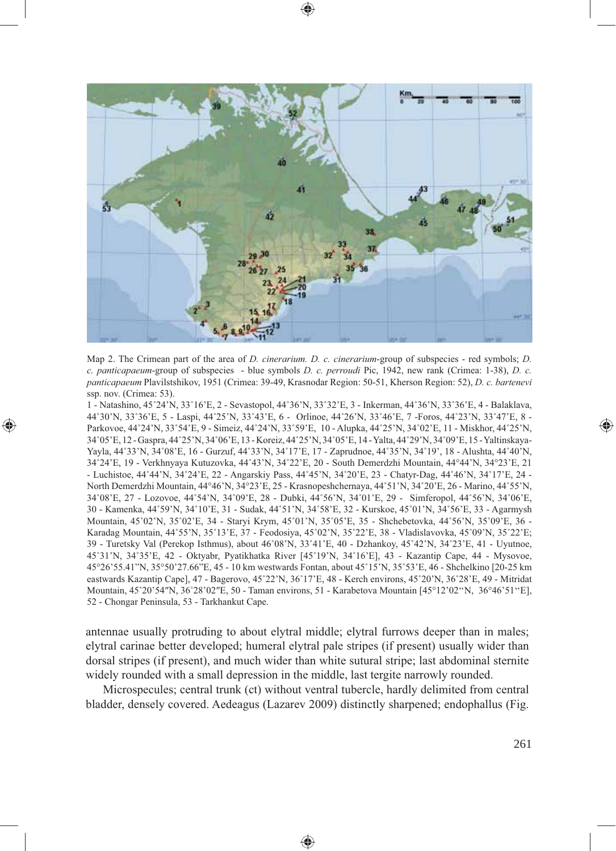

Map 2. The Crimean part of the area of *D. cinerarium. D. c. cinerarium*-group of subspecies - red symbols; *D. c. panticapaeum*-group of subspecies - blue symbols *D. c. perroudi* Pic, 1942, new rank (Crimea: 1-38), *D. c. panticapaeum* Plavilstshikov, 1951 (Crimea: 39-49, Krasnodar Region: 50-51, Kherson Region: 52), *D. c. bartenevi*  ssp. nov. (Crimea: 53).

◈

1 - Natashino, 45˚24'N, 33˚16'E, 2 - Sevastopol, 44˚36'N, 33˚32'E, 3 - Inkerman, 44˚36'N, 33˚36'E, 4 - Balaklava, 44˚30'N, 33˚36'E, 5 - Laspi, 44˚25'N, 33˚43'E, 6 - Orlinoe, 44˚26'N, 33˚46'E, 7 -Foros, 44˚23'N, 33˚47'E, 8 - Parkovoe, 44˚24'N, 33˚54'E, 9 - Simeiz, 44˚24'N, 33˚59'E, 10 - Alupka, 44˚25'N, 34˚02'E, 11 - Miskhor, 44˚25'N, 34˚05'E, 12 - Gaspra, 44˚25'N, 34˚06'E, 13 - Koreiz, 44˚25'N, 34˚05'E, 14 - Yalta, 44˚29'N, 34˚09'E, 15 - Yaltinskaya-Yayla, 44˚33'N, 34˚08'E, 16 - Gurzuf, 44˚33'N, 34˚17'E, 17 - Zaprudnoe, 44˚35'N, 34˚19', 18 - Alushta, 44˚40'N, 34˚24'E, 19 - Verkhnyaya Kutuzovka, 44˚43'N, 34˚22'E, 20 - South Demerdzhi Mountain, 44°44'N, 34°23'E, 21 - Luchistoe, 44˚44'N, 34˚24'E, 22 - Angarskiy Pass, 44˚45'N, 34˚20'E, 23 - Chatyr-Dag, 44˚46'N, 34˚17'E, 24 - North Demerdzhi Mountain, 44°46'N, 34°23'E, 25 - Krasnopeshchernaya, 44˚51'N, 34˚20'E, 26 - Marino, 44˚55'N, 34˚08'E, 27 - Lozovoe, 44˚54'N, 34˚09'E, 28 - Dubki, 44˚56'N, 34˚01'E, 29 - Simferopol, 44˚56'N, 34˚06'E, 30 - Kamenka, 44˚59'N, 34˚10'E, 31 - Sudak, 44˚51'N, 34˚58'E, 32 - Kurskoe, 45˚01'N, 34˚56'E, 33 - Agarmysh Mountain, 45˚02'N, 35˚02'E, 34 - Staryi Krym, 45˚01'N, 35˚05'E, 35 - Shchebetovka, 44˚56'N, 35˚09'E, 36 - Karadag Mountain, 44˚55'N, 35˚13'E, 37 - Feodosiya, 45˚02'N, 35˚22'E, 38 - Vladislavovka, 45˚09'N, 35˚22'E; 39 - Turetsky Val (Perekop Isthmus), about 46˚08'N, 33˚41'E, 40 - Dzhankoy, 45˚42'N, 34˚23'E, 41 - Uyutnoe, 45˚31'N, 34˚35'E, 42 - Oktyabr, Pyatikhatka River [45˚19'N, 34˚16'E], 43 - Kazantip Cape, 44 - Mysovoe, 45°26'55.41"N, 35°50'27.66"E, 45 - 10 km westwards Fontan, about 45˚15'N, 35˚53'E, 46 - Shchelkino [20-25 km eastwards Kazantip Cape], 47 - Bagerovo, 45˚22'N, 36˚17'E, 48 - Kerch environs, 45˚20'N, 36˚28'E, 49 - Mitridat Mountain, 45˚20'54″N, 36˚28'02″E, 50 - Taman environs, 51 - Karabetova Mountain [45°12'02''N, 36°46'51''E], 52 - Chongar Peninsula, 53 - Tarkhankut Cape.

antennae usually protruding to about elytral middle; elytral furrows deeper than in males; elytral carinae better developed; humeral elytral pale stripes (if present) usually wider than dorsal stripes (if present), and much wider than white sutural stripe; last abdominal sternite widely rounded with a small depression in the middle, last tergite narrowly rounded.

Microspecules; central trunk (ct) without ventral tubercle, hardly delimited from central bladder, densely covered. Aedeagus (Lazarev 2009) distinctly sharpened; endophallus (Fig.

⊕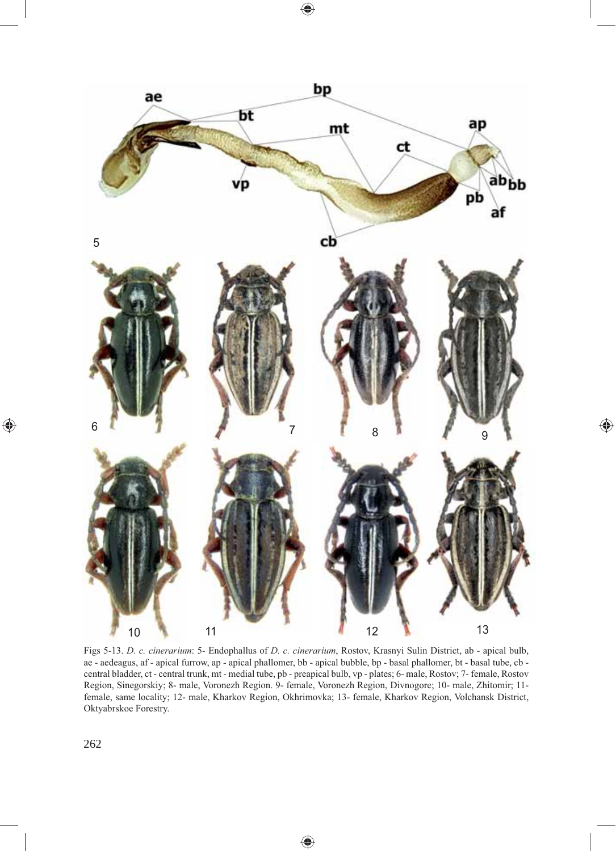$\bigoplus$ 



 $\bigoplus$ 

Figs 5-13. *D. c. cinerarium*: 5- Endophallus of *D. c. cinerarium*, Rostov, Krasnyi Sulin District, ab - apical bulb, ae - aedeagus, af - apical furrow, ap - apical phallomer, bb - apical bubble, bp - basal phallomer, bt - basal tube, cb central bladder, ct - central trunk, mt - medial tube, pb - preapical bulb, vp - plates; 6- male, Rostov; 7- female, Rostov Region, Sinegorskiy; 8- male, Voronezh Region. 9- female, Voronezh Region, Divnogore; 10- male, Zhitomir; 11 female, same locality; 12- male, Kharkov Region, Okhrimovka; 13- female, Kharkov Region, Volchansk District, Oktyabrskoe Forestry.

♠

 $\bigoplus$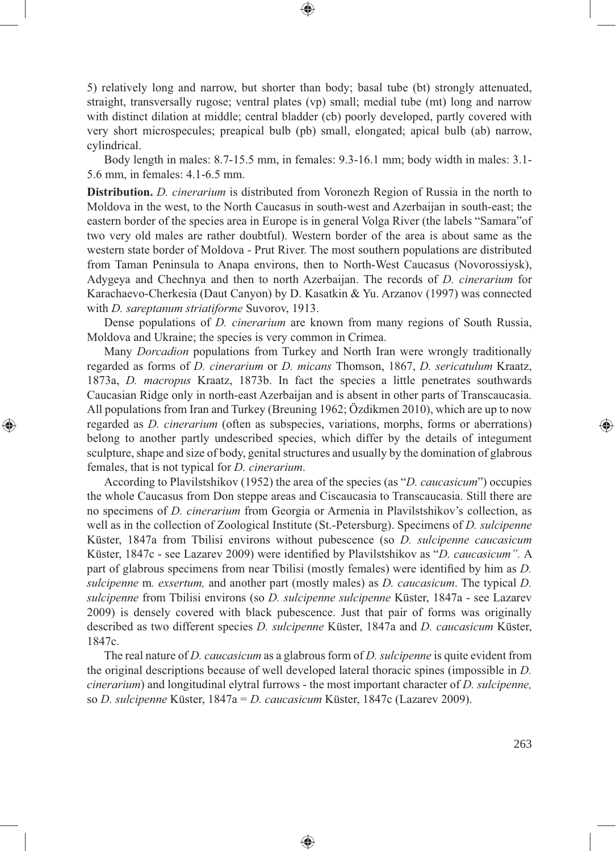5) relatively long and narrow, but shorter than body; basal tube (bt) strongly attenuated, straight, transversally rugose; ventral plates (vp) small; medial tube (mt) long and narrow with distinct dilation at middle; central bladder (cb) poorly developed, partly covered with very short microspecules; preapical bulb (pb) small, elongated; apical bulb (ab) narrow, cylindrical.

⊕

Body length in males: 8.7-15.5 mm, in females: 9.3-16.1 mm; body width in males: 3.1- 5.6 mm, in females: 4.1-6.5 mm.

**Distribution.** *D. cinerarium* is distributed from Voronezh Region of Russia in the north to Moldova in the west, to the North Caucasus in south-west and Azerbaijan in south-east; the eastern border of the species area in Europe is in general Volga River (the labels "Samara"of two very old males are rather doubtful). Western border of the area is about same as the western state border of Moldova - Prut River. The most southern populations are distributed from Taman Peninsula to Anapa environs, then to North-West Caucasus (Novorossiysk), Adygeya and Chechnya and then to north Azerbaijan. The records of *D. cinerarium* for Karachaevo-Cherkesia (Daut Canyon) by D. Kasatkin & Yu. Arzanov (1997) was connected with *D. sareptanum striatiforme* Suvorov, 1913.

Dense populations of *D. cinerarium* are known from many regions of South Russia, Moldova and Ukraine; the species is very common in Crimea.

Many *Dorcadion* populations from Turkey and North Iran were wrongly traditionally regarded as forms of *D. cinerarium* or *D. micans* Thomson, 1867, *D. sericatulum* Kraatz, 1873a, *D. macropus* Kraatz, 1873b. In fact the species a little penetrates southwards Caucasian Ridge only in north-east Azerbaijan and is absent in other parts of Transcaucasia. All populations from Iran and Turkey (Breuning 1962; Özdikmen 2010), which are up to now regarded as *D. cinerarium* (often as subspecies, variations, morphs, forms or aberrations) belong to another partly undescribed species, which differ by the details of integument sculpture, shape and size of body, genital structures and usually by the domination of glabrous females, that is not typical for *D. cinerarium*.

⊕

According to Plavilstshikov (1952) the area of the species (as "*D. caucasicum*") occupies the whole Caucasus from Don steppe areas and Ciscaucasia to Transcaucasia. Still there are no specimens of *D. cinerarium* from Georgia or Armenia in Plavilstshikov's collection, as well as in the collection of Zoological Institute (St.-Petersburg). Specimens of *D. sulcipenne* Küster, 1847a from Tbilisi environs without pubescence (so *D. sulcipenne caucasicum* Küster, 1847c - see Lazarev 2009) were identified by Plavilstshikov as "*D. caucasicum*". A part of glabrous specimens from near Tbilisi (mostly females) were identified by him as *D*. *sulcipenne* m*. exsertum,* and another part (mostly males) as *D. caucasicum*. The typical *D. sulcipenne* from Tbilisi environs (so *D. sulcipenne sulcipenne* Küster, 1847a - see Lazarev 2009) is densely covered with black pubescence. Just that pair of forms was originally described as two different species *D. sulcipenne* Küster, 1847a and *D. caucasicum* Küster, 1847c.

The real nature of *D. caucasicum* as a glabrous form of *D. sulcipenne* is quite evident from the original descriptions because of well developed lateral thoracic spines (impossible in *D. cinerarium*) and longitudinal elytral furrows - the most important character of *D. sulcipenne,*  so *D. sulcipenne* Küster, 1847a = *D. caucasicum* Küster, 1847c (Lazarev 2009).

♠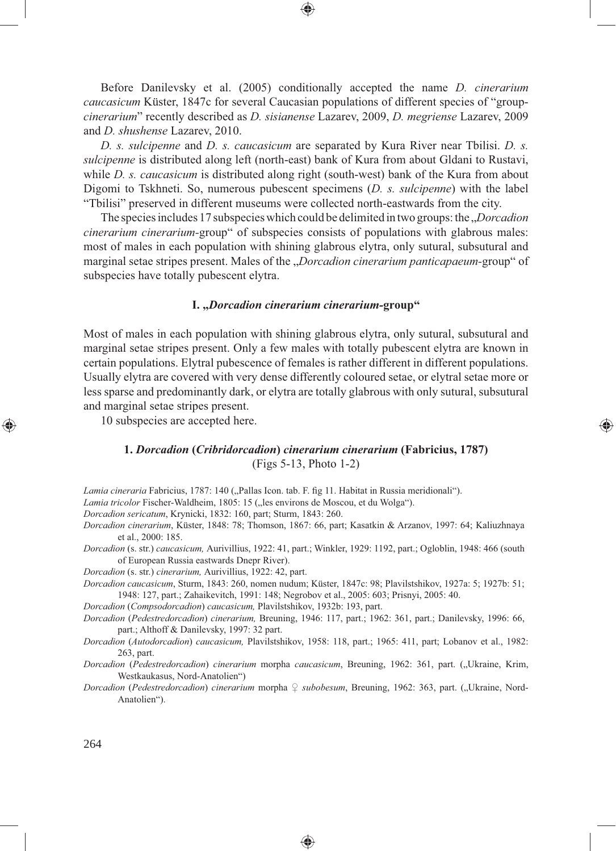Before Danilevsky et al. (2005) conditionally accepted the name *D. cinerarium caucasicum* Küster, 1847c for several Caucasian populations of different species of "group*cinerarium*" recently described as *D. sisianense* Lazarev, 2009, *D. megriense* Lazarev, 2009 and *D. shushense* Lazarev, 2010.

*D. s. sulcipenne* and *D. s. caucasicum* are separated by Kura River near Tbilisi. *D. s. sulcipenne* is distributed along left (north-east) bank of Kura from about Gldani to Rustavi, while *D. s. caucasicum* is distributed along right (south-west) bank of the Kura from about Digomi to Tskhneti. So, numerous pubescent specimens (*D. s. sulcipenne*) with the label "Tbilisi" preserved in different museums were collected north-eastwards from the city.

The species includes 17 subspecies which could be delimited in two groups: the *"Dorcadion cinerarium cinerarium-*group" of subspecies consists of populations with glabrous males: most of males in each population with shining glabrous elytra, only sutural, subsutural and marginal setae stripes present. Males of the "*Dorcadion cinerarium panticapaeum-*group" of subspecies have totally pubescent elytra.

#### **I. "***Dorcadion cinerarium cinerarium-***group"**

Most of males in each population with shining glabrous elytra, only sutural, subsutural and marginal setae stripes present. Only a few males with totally pubescent elytra are known in certain populations. Elytral pubescence of females is rather different in different populations. Usually elytra are covered with very dense differently coloured setae, or elytral setae more or less sparse and predominantly dark, or elytra are totally glabrous with only sutural, subsutural and marginal setae stripes present.

10 subspecies are accepted here.

## **1.** *Dorcadion* **(***Cribridorcadion***)** *cinerarium cinerarium* **(Fabricius, 1787)** (Figs 5-13, Photo 1-2)

⊕

*Lamia cineraria* Fabricius, 1787: 140 ("Pallas Icon. tab. F. fig 11. Habitat in Russia meridionali").

*Lamia tricolor* Fischer-Waldheim, 1805: 15 ("les environs de Moscou, et du Wolga").

*Dorcadion sericatum*, Krynicki, 1832: 160, part; Sturm, 1843: 260.

- *Dorcadion cinerarium*, Küster, 1848: 78; Thomson, 1867: 66, part; Kasatkin & Arzanov, 1997: 64; Kaliuzhnaya et al., 2000: 185.
- *Dorcadion* (s. str.) *caucasicum,* Aurivillius, 1922: 41, part.; Winkler, 1929: 1192, part.; Ogloblin, 1948: 466 (south of European Russia eastwards Dnepr River).

*Dorcadion* (s. str.) *cinerarium,* Aurivillius, 1922: 42, part.

*Dorcadion caucasicum*, Sturm, 1843: 260, nomen nudum; Küster, 1847c: 98; Plavilstshikov, 1927a: 5; 1927b: 51; 1948: 127, part.; Zahaikevitch, 1991: 148; Negrobov et al., 2005: 603; Prisnyi, 2005: 40.

*Dorcadion* (*Compsodorcadion*) *caucasicum,* Plavilstshikov, 1932b: 193, part.

*Dorcadion* (*Pedestredorcadion*) *cinerarium,* Breuning, 1946: 117, part.; 1962: 361, part.; Danilevsky, 1996: 66, part.; Althoff & Danilevsky, 1997: 32 part.

*Dorcadion* (*Autodorcadion*) *caucasicum,* Plavilstshikov, 1958: 118, part.; 1965: 411, part; Lobanov et al., 1982: 263, part.

*Dorcadion* (*Pedestredorcadion*) *cinerarium* morpha *caucasicum*, Breuning, 1962: 361, part. ("Ukraine, Krim, Westkaukasus, Nord-Anatolien")

*Dorcadion (Pedestredorcadion) cinerarium* morpha ♀ *subobesum*, Breuning, 1962: 363, part. ("Ukraine, Nord-Anatolien").

⊕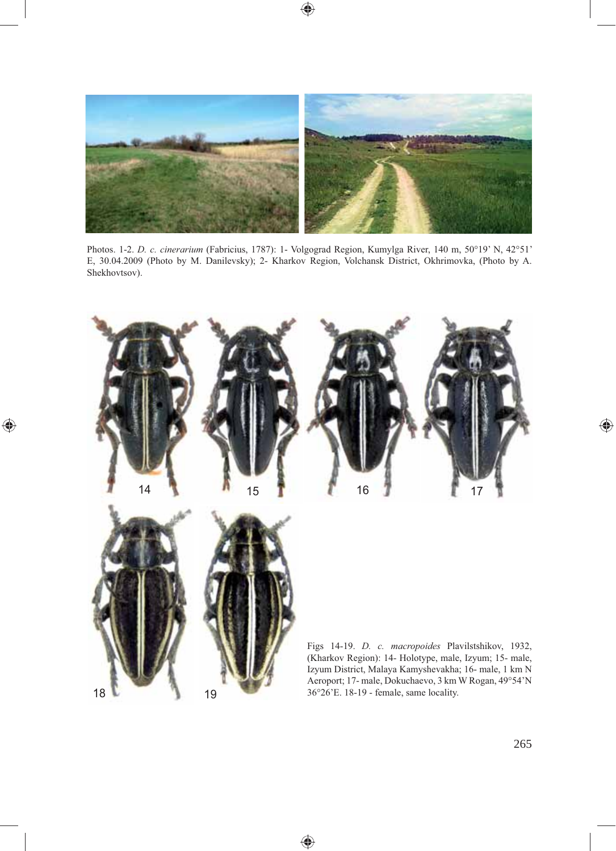

 $\bigoplus$ 

Photos. 1-2. *D. c. cinerarium* (Fabricius, 1787): 1- Volgograd Region, Kumylga River, 140 m, 50°19' N, 42°51' E, 30.04.2009 (Photo by M. Danilevsky); 2- Kharkov Region, Volchansk District, Okhrimovka, (Photo by A. Shekhovtsov).



⊕

 $\bigoplus$ 

265

 $\bigoplus$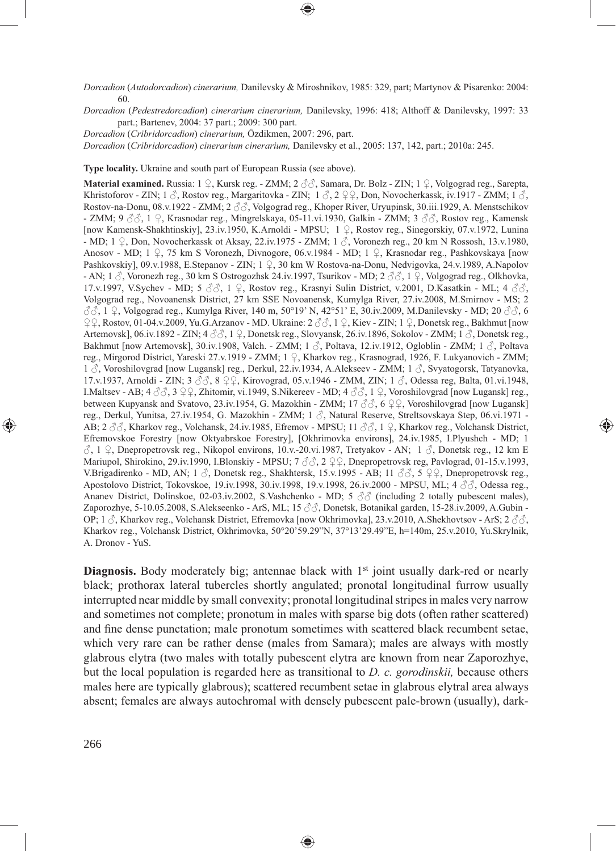*Dorcadion* (*Autodorcadion*) *cinerarium,* Danilevsky & Miroshnikov, 1985: 329, part; Martynov & Pisarenko: 2004: 60.

*Dorcadion* (*Pedestredorcadion*) *cinerarium cinerarium,* Danilevsky, 1996: 418; Althoff & Danilevsky, 1997: 33 part.; Bartenev, 2004: 37 part.; 2009: 300 part.

*Dorcadion* (*Cribridorcadion*) *cinerarium,* Özdikmen, 2007: 296, part.

*Dorcadion* (*Cribridorcadion*) *cinerarium cinerarium,* Danilevsky et al., 2005: 137, 142, part.; 2010a: 245.

**Type locality.** Ukraine and south part of European Russia (see above).

**Material examined.** Russia: 1 ♀, Kursk reg. - ZMM; 2 ♂♂, Samara, Dr. Bolz - ZIN; 1 ♀, Volgograd reg., Sarepta, Khristoforov - ZIN; 1  $\hat{\beta}$ , Rostov reg., Margaritovka - ZIN; 1  $\hat{\beta}$ , 2  $\hat{\varphi}$ , Don, Novocherkassk, iv.1917 - ZMM; 1  $\hat{\beta}$ , Rostov-na-Donu, 08.v.1922 - ZMM; 2  $\partial \partial$ , Volgograd reg., Khoper River, Uryupinsk, 30.iii.1929, A. Menstschikov - ZMM; 9 ♂♂, 1 ♀, Krasnodar reg., Mingrelskaya, 05-11.vi.1930, Galkin - ZMM; 3 ♂♂, Rostov reg., Kamensk [now Kamensk-Shakhtinskiy], 23.iv.1950, K.Arnoldi - MPSU; 1 ♀, Rostov reg., Sinegorskiy, 07.v.1972, Lunina - MD; 1  $\circ$ , Don, Novocherkassk ot Aksay, 22.iv.1975 - ZMM; 1  $\circ$ , Voronezh reg., 20 km N Rossosh, 13.v.1980, Anosov - MD; 1 ♀, 75 km S Voronezh, Divnogore, 06.v.1984 - MD; 1 ♀, Krasnodar reg., Pashkovskaya [now Pashkovskiy], 09.v.1988, E.Stepanov - ZIN; 1 ♀, 30 km W Rostova-na-Donu, Nedvigovka, 24.v.1989, A.Napolov - AN;  $1 \text{ } \Diamond$ , Voronezh reg., 30 km S Ostrogozhsk 24.iv.1997, Tsurikov - MD; 2  $\Diamond \Diamond$ , 1  $\Diamond$ , Volgograd reg., Olkhovka, 17.v.1997, V.Sychev - MD;  $5 \text{ } \partial \beta$ , 1  $\varphi$ , Rostov reg., Krasnyi Sulin District, v.2001, D.Kasatkin - ML; 4  $\partial \beta$ , Volgograd reg., Novoanensk District, 27 km SSE Novoanensk, Kumylga River, 27.iv.2008, M.Smirnov - MS; 2 ♂♂, 1 ♀, Volgograd reg., Kumylga River, 140 m, 50°19' N, 42°51' E, 30.iv.2009, M.Danilevsky - MD; 20 ♂♂, 6 ♀♀, Rostov, 01-04.v.2009, Yu.G.Arzanov - MD. Ukraine: 2 ♂♂, 1 ♀, Kiev - ZIN; 1 ♀, Donetsk reg., Bakhmut [now Artemovsk], 06.iv.1892 - ZIN;  $4 \text{ } \partial \beta$ , 1  $\text{ } \mathcal{Q}$ , Donetsk reg., Slovyansk, 26.iv.1896, Sokolov - ZMM; 1  $\beta$ , Donetsk reg., Bakhmut [now Artemovsk], 30.iv.1908, Valch. - ZMM; 1 ♂, Poltava, 12.iv.1912, Ogloblin - ZMM; 1 ♂, Poltava reg., Mirgorod District, Yareski 27.v.1919 - ZMM; 1 ♀, Kharkov reg., Krasnograd, 1926, F. Lukyanovich - ZMM; 1 ♂, Voroshilovgrad [now Lugansk] reg., Derkul, 22.iv.1934, A.Alekseev - ZMM; 1 ♂, Svyatogorsk, Tatyanovka, 17.v.1937, Arnoldi - ZIN; 3 ♂♂, 8 ♀♀, Kirovograd, 05.v.1946 - ZMM, ZIN; 1 ♂, Odessa reg, Balta, 01.vi.1948, I.Maltsev - AB;  $4 \text{ } \mathcal{S} \mathcal{S}$ ,  $3 \text{ } \mathcal{Q} \mathcal{Q}$ , Zhitomir, vi.1949, S.Nikereev - MD;  $4 \text{ } \mathcal{S} \mathcal{S}$ ,  $1 \text{ } \mathcal{Q}$ , Voroshilovgrad [now Lugansk] reg., between Kupyansk and Svatovo, 23.iv.1954, G. Mazokhin - ZMM; 17 ♂♂, 6 ♀♀, Voroshilovgrad [now Lugansk] reg., Derkul, Yunitsa, 27.iv.1954, G. Mazokhin - ZMM; 1 ♂, Natural Reserve, Streltsovskaya Step, 06.vi.1971 - AB; 2 ♂♂, Kharkov reg., Volchansk, 24.iv.1985, Efremov - MPSU; 11 ♂♂, 1 ♀, Kharkov reg., Volchansk District, Efremovskoe Forestry [now Oktyabrskoe Forestry], [Okhrimovka environs], 24.iv.1985, I.Plyushch - MD; 1  $\Diamond$ , 1  $\Diamond$ , Dnepropetrovsk reg., Nikopol environs, 10.v.-20.vi.1987, Tretyakov - AN; 1  $\Diamond$ , Donetsk reg., 12 km E Mariupol, Shirokino, 29.iv.1990, I.Blonskiy - MPSU; 7  $\Im$  2  $\Im$ , Dnepropetrovsk reg, Pavlograd, 01-15.v.1993, V.Brigadirenko - MD, AN; 1  $\beta$ , Donetsk reg., Shakhtersk, 15.v.1995 - AB; 11  $\beta\beta$ , 5  $\beta\beta$ , Dnepropetrovsk reg. Apostolovo District, Tokovskoe, 19.iv.1998, 30.iv.1998, 19.v.1998, 26.iv.2000 - MPSU, ML; 4 ♂ , Odessa reg., Ananev District, Dolinskoe, 02-03.iv.2002, S.Vashchenko - MD;  $5 \text{ } \textcircled{7} \textcircled{} 5 \text{ } \textcircled{7}$  (including 2 totally pubescent males), Zaporozhye, 5-10.05.2008, S.Alekseenko - ArS, ML; 15 ♂♂, Donetsk, Botanikal garden, 15-28.iv.2009, A.Gubin - OP; 1  $\beta$ , Kharkov reg., Volchansk District, Efremovka [now Okhrimovka], 23.v.2010, A.Shekhovtsov - ArS; 2  $\beta\beta$ , Kharkov reg., Volchansk District, Okhrimovka, 50°20'59.29"N, 37°13'29.49"E, h=140m, 25.v.2010, Yu.Skrylnik, A. Dronov - YuS.

⊕

**Diagnosis.** Body moderately big; antennae black with 1<sup>st</sup> joint usually dark-red or nearly black; prothorax lateral tubercles shortly angulated; pronotal longitudinal furrow usually interrupted near middle by small convexity; pronotal longitudinal stripes in males very narrow and sometimes not complete; pronotum in males with sparse big dots (often rather scattered) and fine dense punctation; male pronotum sometimes with scattered black recumbent setae, which very rare can be rather dense (males from Samara); males are always with mostly glabrous elytra (two males with totally pubescent elytra are known from near Zaporozhye, but the local population is regarded here as transitional to *D. c. gorodinskii,* because others males here are typically glabrous); scattered recumbent setae in glabrous elytral area always absent; females are always autochromal with densely pubescent pale-brown (usually), dark-

⊕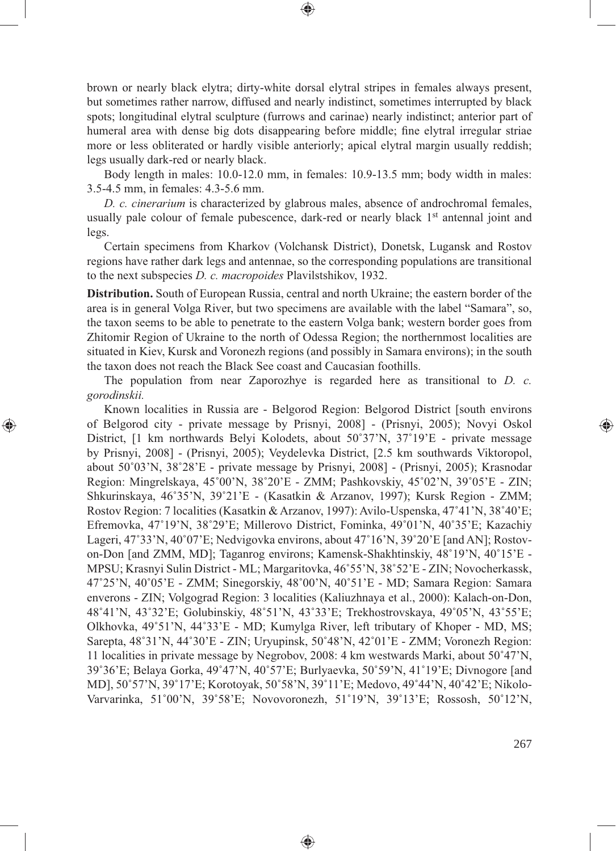brown or nearly black elytra; dirty-white dorsal elytral stripes in females always present, but sometimes rather narrow, diffused and nearly indistinct, sometimes interrupted by black spots; longitudinal elytral sculpture (furrows and carinae) nearly indistinct; anterior part of humeral area with dense big dots disappearing before middle; fine elytral irregular striae more or less obliterated or hardly visible anteriorly; apical elytral margin usually reddish; legs usually dark-red or nearly black.

⊕

Body length in males: 10.0-12.0 mm, in females: 10.9-13.5 mm; body width in males: 3.5-4.5 mm, in females: 4.3-5.6 mm.

*D. c. cinerarium* is characterized by glabrous males, absence of androchromal females, usually pale colour of female pubescence, dark-red or nearly black 1<sup>st</sup> antennal joint and legs.

Certain specimens from Kharkov (Volchansk District), Donetsk, Lugansk and Rostov regions have rather dark legs and antennae, so the corresponding populations are transitional to the next subspecies *D. c. macropoides* Plavilstshikov, 1932.

**Distribution.** South of European Russia, central and north Ukraine; the eastern border of the area is in general Volga River, but two specimens are available with the label "Samara", so, the taxon seems to be able to penetrate to the eastern Volga bank; western border goes from Zhitomir Region of Ukraine to the north of Odessa Region; the northernmost localities are situated in Kiev, Kursk and Voronezh regions (and possibly in Samara environs); in the south the taxon does not reach the Black See coast and Caucasian foothills.

The population from near Zaporozhye is regarded here as transitional to *D. c. gorodinskii.*

⊕

Known localities in Russia are - Belgorod Region: Belgorod District [south environs of Belgorod city - private message by Prisnyi, 2008] - (Prisnyi, 2005); Novyi Oskol District, [1 km northwards Belyi Kolodets, about 50˚37'N, 37˚19'E - private message by Prisnyi, 2008] - (Prisnyi, 2005); Veydelevka District, [2.5 km southwards Viktoropol, about 50˚03'N, 38˚28'E - private message by Prisnyi, 2008] - (Prisnyi, 2005); Krasnodar Region: Mingrelskaya, 45˚00'N, 38˚20'E - ZMM; Pashkovskiy, 45˚02'N, 39˚05'E - ZIN; Shkurinskaya, 46˚35'N, 39˚21'E - (Kasatkin & Arzanov, 1997); Kursk Region - ZMM; Rostov Region: 7 localities (Kasatkin & Arzanov, 1997): Avilo-Uspenska, 47˚41'N, 38˚40'E; Efremovka, 47˚19'N, 38˚29'E; Millerovo District, Fominka, 49˚01'N, 40˚35'E; Kazachiy Lageri, 47°33'N, 40°07'E; Nedvigovka environs, about 47°16'N, 39°20'E [and AN]; Rostovon-Don [and ZMM, MD]; Taganrog environs; Kamensk-Shakhtinskiy, 48˚19'N, 40˚15'E - MPSU; Krasnyi Sulin District - ML; Margaritovka, 46˚55'N, 38˚52'E - ZIN; Novocherkassk, 47˚25'N, 40˚05'E - ZMM; Sinegorskiy, 48˚00'N, 40˚51'E - MD; Samara Region: Samara enverons - ZIN; Volgograd Region: 3 localities (Kaliuzhnaya et al., 2000): Kalach-on-Don, 48˚41'N, 43˚32'E; Golubinskiy, 48˚51'N, 43˚33'E; Trekhostrovskaya, 49˚05'N, 43˚55'E; Olkhovka, 49˚51'N, 44˚33'E - MD; Kumylga River, left tributary of Khoper - MD, MS; Sarepta, 48˚31'N, 44˚30'E - ZIN; Uryupinsk, 50˚48'N, 42˚01'E - ZMM; Voronezh Region: 11 localities in private message by Negrobov, 2008: 4 km westwards Marki, about 50˚47'N, 39˚36'E; Belaya Gorka, 49˚47'N, 40˚57'E; Burlyaevka, 50˚59'N, 41˚19'E; Divnogore [and MD], 50˚57'N, 39˚17'E; Korotoyak, 50˚58'N, 39˚11'E; Medovo, 49˚44'N, 40˚42'E; Nikolo-Varvarinka, 51˚00'N, 39˚58'E; Novovoronezh, 51˚19'N, 39˚13'E; Rossosh, 50˚12'N,

◈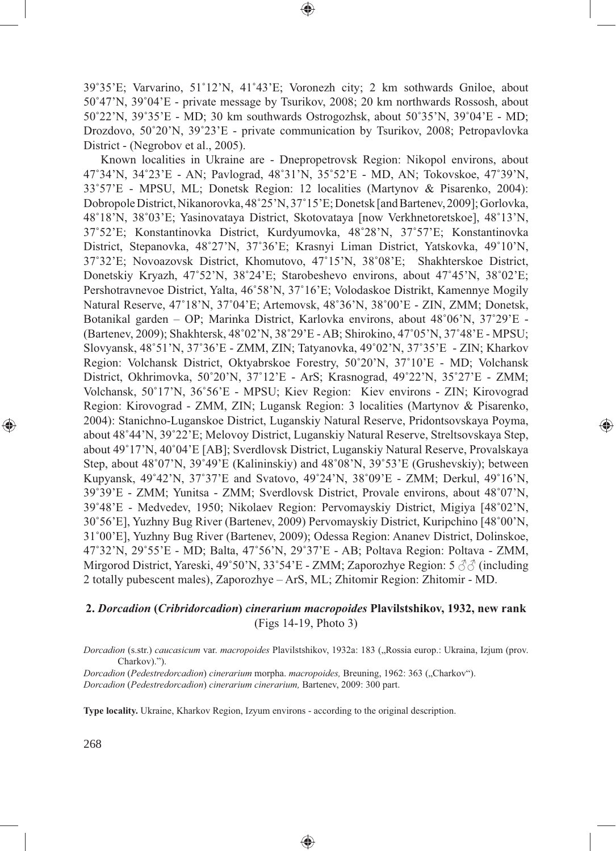39˚35'E; Varvarino, 51˚12'N, 41˚43'E; Voronezh city; 2 km sothwards Gniloe, about 50˚47'N, 39˚04'E - private message by Tsurikov, 2008; 20 km northwards Rossosh, about 50˚22'N, 39˚35'E - MD; 30 km southwards Ostrogozhsk, about 50˚35'N, 39˚04'E - MD; Drozdovo, 50˚20'N, 39˚23'E - private communication by Tsurikov, 2008; Petropavlovka District - (Negrobov et al., 2005).

◈

Known localities in Ukraine are - Dnepropetrovsk Region: Nikopol environs, about 47˚34'N, 34˚23'E - AN; Pavlograd, 48˚31'N, 35˚52'E - MD, AN; Tokovskoe, 47˚39'N, 33˚57'E - MPSU, ML; Donetsk Region: 12 localities (Martynov & Pisarenko, 2004): Dobropole District, Nikanorovka, 48˚25'N, 37˚15'E; Donetsk [and Bartenev, 2009]; Gorlovka, 48˚18'N, 38˚03'E; Yasinovataya District, Skotovataya [now Verkhnetoretskoe], 48˚13'N, 37˚52'E; Konstantinovka District, Kurdyumovka, 48˚28'N, 37˚57'E; Konstantinovka District, Stepanovka, 48˚27'N, 37˚36'E; Krasnyi Liman District, Yatskovka, 49˚10'N, 37˚32'E; Novoazovsk District, Khomutovo, 47˚15'N, 38˚08'E; Shakhterskoe District, Donetskiy Kryazh, 47˚52'N, 38˚24'E; Starobeshevo environs, about 47˚45'N, 38˚02'E; Pershotravnevoe District, Yalta, 46˚58'N, 37˚16'E; Volodaskoe Distrikt, Kamennye Mogily Natural Reserve, 47˚18'N, 37˚04'E; Artemovsk, 48˚36'N, 38˚00'E - ZIN, ZMM; Donetsk, Botanikal garden – OP; Marinka District, Karlovka environs, about 48˚06'N, 37˚29'E - (Bartenev, 2009); Shakhtersk, 48˚02'N, 38˚29'E - AB; Shirokino, 47˚05'N, 37˚48'E - MPSU; Slovyansk, 48˚51'N, 37˚36'E - ZMM, ZIN; Tatyanovka, 49˚02'N, 37˚35'E - ZIN; Kharkov Region: Volchansk District, Oktyabrskoe Forestry, 50˚20'N, 37˚10'E - MD; Volchansk District, Okhrimovka, 50˚20'N, 37˚12'E - ArS; Krasnograd, 49˚22'N, 35˚27'E - ZMM; Volchansk, 50˚17'N, 36˚56'E - MPSU; Kiev Region: Kiev environs - ZIN; Kirovograd Region: Kirovograd - ZMM, ZIN; Lugansk Region: 3 localities (Martynov & Pisarenko, 2004): Stanichno-Luganskoe District, Luganskiy Natural Reserve, Pridontsovskaya Poyma, about 48˚44'N, 39˚22'E; Melovoy District, Luganskiy Natural Reserve, Streltsovskaya Step, about 49˚17'N, 40˚04'E [AB]; Sverdlovsk District, Luganskiy Natural Reserve, Provalskaya Step, about 48˚07'N, 39˚49'E (Kalininskiy) and 48˚08'N, 39˚53'E (Grushevskiy); between Kupyansk, 49˚42'N, 37˚37'E and Svatovo, 49˚24'N, 38˚09'E - ZMM; Derkul, 49˚16'N, 39˚39'E - ZMM; Yunitsa - ZMM; Sverdlovsk District, Provale environs, about 48˚07'N, 39˚48'E - Medvedev, 1950; Nikolaev Region: Pervomayskiy District, Migiya [48˚02'N, 30˚56'E], Yuzhny Bug River (Bartenev, 2009) Pervomayskiy District, Kuripchino [48˚00'N, 31˚00'E], Yuzhny Bug River (Bartenev, 2009); Odessa Region: Ananev District, Dolinskoe, 47˚32'N, 29˚55'E - MD; Balta, 47˚56'N, 29˚37'E - AB; Poltava Region: Poltava - ZMM, Mirgorod District, Yareski, 49˚50'N, 33˚54'E - ZMM; Zaporozhye Region: 5 ♂♂ (including 2 totally pubescent males), Zaporozhye – ArS, ML; Zhitomir Region: Zhitomir - MD.

⊕

## **2.** *Dorcadion* **(***Cribridorcadion***)** *cinerarium macropoides* **Plavilstshikov, 1932, new rank** (Figs 14-19, Photo 3)

*Dorcadion* (s.str.) *caucasicum* var. *macropoides* Plavilstshikov, 1932a: 183 ("Rossia europ.: Ukraina, Izjum (prov. Charkov).").

◈

*Dorcadion* (*Pedestredorcadion*) *cinerarium* morpha. *macropoides,* Breuning, 1962: 363 ("Charkov"). *Dorcadion* (*Pedestredorcadion*) *cinerarium cinerarium,* Bartenev, 2009: 300 part.

**Type locality.** Ukraine, Kharkov Region, Izyum environs - according to the original description.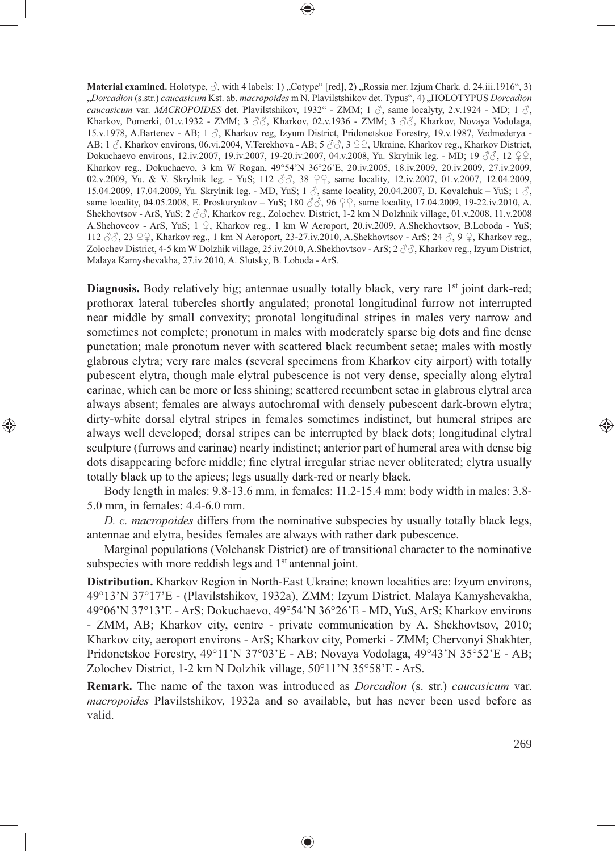**Material examined.** Holotype,  $\hat{\beta}$ , with 4 labels: 1), Cotype" [red], 2), Rossia mer. Izjum Chark. d. 24.iii.1916", 3) "*Dorcadion* (s.str.) *caucasicum* Kst. ab. *macropoides* m N. Plavilstshikov det. Typus", 4) "HOLOTYPUS *Dorcadion caucasicum* var. *MACROPOIDES* det. Plavilstshikov, 1932" - ZMM; 1 ♂, same localyty, 2.v.1924 - MD; 1 ♂, Kharkov, Pomerki, 01.v.1932 - ZMM; 3  $\Im\Im$ , Kharkov, 02.v.1936 - ZMM; 3  $\Im\Im$ , Kharkov, Novaya Vodolaga, 15.v.1978, A.Bartenev - AB; 1 ♂, Kharkov reg, Izyum District, Pridonetskoe Forestry, 19.v.1987, Vedmederya - AB; 1  $\triangle$ , Kharkov environs, 06.vi.2004, V.Terekhova - AB; 5  $\triangle$   $\triangle$ , 3  $\angle$   $\angle$ , Ukraine, Kharkov reg., Kharkov District, Dokuchaevo environs, 12.iv.2007, 19.iv.2007, 19-20.iv.2007, 04.v.2008, Yu. Skrylnik leg. - MD; 19 ♂♂, 12 ♀♀, Kharkov reg., Dokuchaevo, 3 km W Rogan, 49°54'N 36°26'E, 20.iv.2005, 18.iv.2009, 20.iv.2009, 27.iv.2009, 02.v.2009, Yu. & V. Skrylnik leg. - YuS; 112 ♂, 38 ♀♀, same locality, 12.iv.2007, 01.v.2007, 12.04.2009, 15.04.2009, 17.04.2009, Yu. Skrylnik leg. - MD, YuS; 1  $\delta$ , same locality, 20.04.2007, D. Kovalchuk – YuS; 1  $\delta$ , same locality, 04.05.2008, E. Proskuryakov – YuS; 180  $\Im$   $\Im$ , 96  $\Im$ , same locality, 17.04.2009, 19-22.iv.2010, A. Shekhovtsov - ArS, YuS; 2 ♂♂, Kharkov reg., Zolochev. District, 1-2 km N Dolzhnik village, 01.v.2008, 11.v.2008 A.Shehovcov - ArS, YuS; 1 ♀, Kharkov reg., 1 km W Aeroport, 20.iv.2009, A.Shekhovtsov, B.Loboda - YuS; 112 ♂♂, 23 ♀♀, Kharkov reg., 1 km N Aeroport, 23-27.iv.2010, A.Shekhovtsov - ArS; 24 ♂, 9 ♀, Kharkov reg., Zolochev District, 4-5 km W Dolzhik village, 25.iv.2010, A.Shekhovtsov - ArS; 2  $\Im\Im$ , Kharkov reg., Izyum District, Malaya Kamyshevakha, 27.iv.2010, A. Slutsky, B. Loboda - ArS.

⊕

Diagnosis. Body relatively big; antennae usually totally black, very rare 1<sup>st</sup> joint dark-red; prothorax lateral tubercles shortly angulated; pronotal longitudinal furrow not interrupted near middle by small convexity; pronotal longitudinal stripes in males very narrow and sometimes not complete; pronotum in males with moderately sparse big dots and fine dense punctation; male pronotum never with scattered black recumbent setae; males with mostly glabrous elytra; very rare males (several specimens from Kharkov city airport) with totally pubescent elytra, though male elytral pubescence is not very dense, specially along elytral carinae, which can be more or less shining; scattered recumbent setae in glabrous elytral area always absent; females are always autochromal with densely pubescent dark-brown elytra; dirty-white dorsal elytral stripes in females sometimes indistinct, but humeral stripes are always well developed; dorsal stripes can be interrupted by black dots; longitudinal elytral sculpture (furrows and carinae) nearly indistinct; anterior part of humeral area with dense big dots disappearing before middle; fine elytral irregular striae never obliterated; elytra usually totally black up to the apices; legs usually dark-red or nearly black.

⊕

Body length in males: 9.8-13.6 mm, in females: 11.2-15.4 mm; body width in males: 3.8- 5.0 mm, in females: 4.4-6.0 mm.

*D. c. macropoides* differs from the nominative subspecies by usually totally black legs, antennae and elytra, besides females are always with rather dark pubescence.

Marginal populations (Volchansk District) are of transitional character to the nominative subspecies with more reddish legs and 1<sup>st</sup> antennal joint.

**Distribution.** Kharkov Region in North-East Ukraine; known localities are: Izyum environs, 49°13'N 37°17'E - (Plavilstshikov, 1932a), ZMM; Izyum District, Malaya Kamyshevakha, 49°06'N 37°13'E - ArS; Dokuchaevo, 49°54'N 36°26'E - MD, YuS, ArS; Kharkov environs - ZMM, AB; Kharkov city, centre - private communication by A. Shekhovtsov, 2010; Kharkov city, aeroport environs - ArS; Kharkov city, Pomerki - ZMM; Chervonyi Shakhter, Pridonetskoe Forestry, 49°11'N 37°03'E - AB; Novaya Vodolaga, 49°43'N 35°52'E - AB; Zolochev District, 1-2 km N Dolzhik village, 50°11'N 35°58'E - ArS.

**Remark.** The name of the taxon was introduced as *Dorcadion* (s. str.) *caucasicum* var. *macropoides* Plavilstshikov, 1932a and so available, but has never been used before as valid.

◈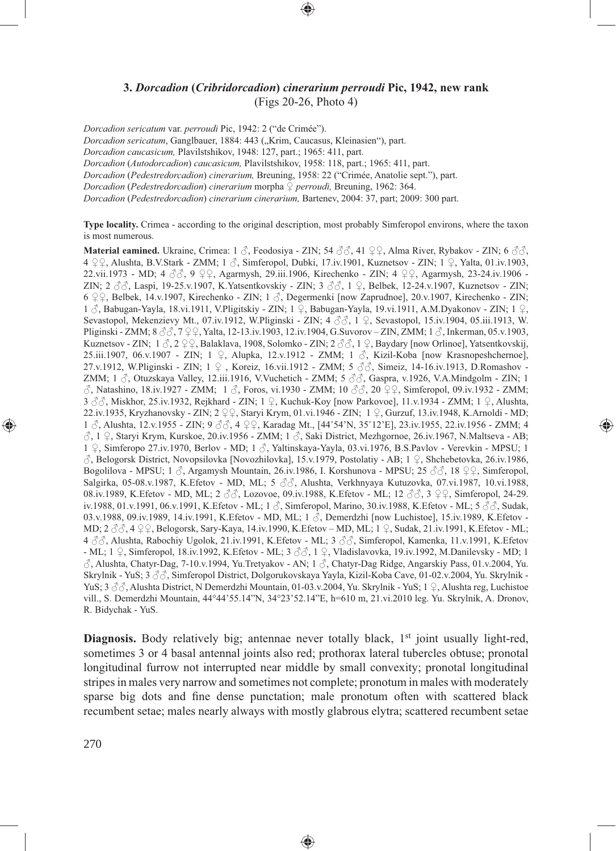# **3.** *Dorcadion* **(***Cribridorcadion***)** *cinerarium perroudi* **Pic, 1942, new rank** (Figs 20-26, Photo 4)

*Dorcadion sericatum* var. *perroudi* Pic, 1942: 2 ("de Crimée").

*Dorcadion sericatum*, Ganglbauer, 1884: 443 ("Krim, Caucasus, Kleinasien"), part.

*Dorcadion caucasicum,* Plavilstshikov, 1948: 127, part.; 1965: 411, part.

*Dorcadion* (*Autodorcadion*) *caucasicum,* Plavilstshikov, 1958: 118, part.; 1965: 411, part.

*Dorcadion* (*Pedestredorcadion*) *cinerarium,* Breuning, 1958: 22 ("Crimée, Anatolie sept."), part.

*Dorcadion* (*Pedestredorcadion*) *cinerarium* morpha ♀ *perroudi,* Breuning, 1962: 364.

*Dorcadion* (*Pedestredorcadion*) *cinerarium cinerarium,* Bartenev, 2004: 37, part; 2009: 300 part.

**Type locality.** Crimea - according to the original description, most probably Simferopol environs, where the taxon is most numerous.

**Material eamined.** Ukraine, Crimea: 1 ♂, Feodosiya - ZIN; 54 ♂♂, 41 ♀♀, Alma River, Rybakov - ZIN; 6 ♂♂, 4 ♀♀, Alushta, B.V.Stark - ZMM; 1 ♂, Simferopol, Dubki, 17.iv.1901, Kuznetsov - ZIN; 1 ♀, Yalta, 01.iv.1903, 22.vii.1973 - MD; 4 ♂♂, 9 ♀♀, Agarmysh, 29.iii.1906, Kirechenko - ZIN; 4 ♀♀, Agarmysh, 23-24.iv.1906 - ZIN; 2 ♂♂, Laspi, 19-25.v.1907, K.Yatsentkovskiy - ZIN; 3 ♂♂, 1 ♀, Belbek, 12-24.v.1907, Kuznetsov - ZIN; 6  $\varphi$ , Belbek, 14.v.1907, Kirechenko - ZIN; 1  $\Diamond$ , Degermenki [now Zaprudnoe], 20.v.1907, Kirechenko - ZIN;  $1 \text{ }\partial$ , Babugan-Yayla, 18.vi.1911, V.Pligitskiy - ZIN;  $1 \text{ }\mathcal{Q}$ , Babugan-Yayla, 19.vi.1911, A.M.Dyakonov - ZIN;  $1 \text{ }\mathcal{Q}$ , Sevastopol, Mekenzievy Mt., 07.iv.1912, W.Pliginski - ZIN; 4 ♂♂, 1 ♀, Sevastopol, 15.iv.1904, 05.iii.1913, W. Pliginski - ZMM; 8 ♂♂, 7 ♀♀, Yalta, 12-13.iv.1903, 12.iv.1904, G.Suvorov – ZIN, ZMM; 1 ♂, Inkerman, 05.v.1903, Kuznetsov - ZIN;  $1 \hat{\beta}$ ,  $2 \hat{S}$ , Balaklava, 1908, Solomko - ZIN;  $2 \hat{\beta}$ ,  $\hat{\beta}$ ,  $\hat{S}$ ,  $\hat{S}$ ,  $\hat{S}$ ,  $\hat{S}$ ,  $\hat{S}$ ,  $\hat{S}$ ,  $\hat{S}$ ,  $\hat{S}$ ,  $\hat{S}$ ,  $\hat{S}$ ,  $\hat{S}$ ,  $\hat{S}$ ,  $\hat{S}$ ,  $\hat{S}$ ,  $\hat{S}$ 25.iii.1907, 06.v.1907 - ZIN; 1 ♀, Alupka, 12.v.1912 - ZMM; 1 ♂, Kizil-Koba [now Krasnopeshchernoe], 27.v.1912, W.Pliginski - ZIN; 1 ♀ , Koreiz, 16.vii.1912 - ZMM; 5 ♂♂, Simeiz, 14-16.iv.1913, D.Romashov - ZMM; 1  $\Im$ , Otuzskaya Valley, 12.iii.1916, V.Vuchetich - ZMM; 5  $\Im$  $\Im$ , Gaspra, v.1926, V.A.Mindgolm - ZIN; 1 ♂, Natashino, 18.iv.1927 - ZMM; 1 ♂, Foros, vi.1930 - ZMM; 10 ♂♂, 20 ♀♀, Simferopol, 09.iv.1932 - ZMM; 3 ♂♂, Miskhor, 25.iv.1932, Rejkhard - ZIN; 1 ♀, Kuchuk-Koy [now Parkovoe], 11.v.1934 - ZMM; 1 ♀, Alushta, 22.iv.1935, Kryzhanovsky - ZIN; 2 ♀♀, Staryi Krym, 01.vi.1946 - ZIN; 1 ♀, Gurzuf, 13.iv.1948, K.Arnoldi - MD; 1 ♂, Alushta, 12.v.1955 - ZIN; 9 ♂♂, 4 ♀♀, Karadag Mt., [44˚54'N, 35˚12'E], 23.iv.1955, 22.iv.1956 - ZMM; 4 ♂, 1 ♀, Staryi Krym, Kurskoe, 20.iv.1956 - ZMM; 1 ♂, Saki District, Mezhgornoe, 26.iv.1967, N.Maltseva - AB; 1 ♀, Simferopo 27.iv.1970, Berlov - MD; 1 ♂, Yaltinskaya-Yayla, 03.vi.1976, B.S.Pavlov - Verevkin - MPSU; 1 ♂, Belogorsk District, Novopsilovka [Novozhilovka], 15.v.1979, Postolatiy - AB; 1 ♀, Shchebetovka, 26.iv.1986, Bogolilova - MPSU; 1 ♂, Argamysh Mountain, 26.iv.1986, I. Korshunova - MPSU; 25 ♂♂, 18 ♀♀, Simferopol, Salgirka, 05-08.v.1987, K.Efetov - MD, ML; 5 ♂♂, Alushta, Verkhnyaya Kutuzovka, 07.vi.1987, 10.vi.1988, 08.iv.1989, K.Efetov - MD, ML; 2 ♂, Lozovoe, 09.iv.1988, K.Efetov - ML; 12 ♂, 3 ♀♀, Simferopol, 24-29. iv.1988, 01.v.1991, 06.v.1991, K.Efetov - ML; 1 ♂, Simferopol, Marino, 30.iv.1988, K.Efetov - ML; 5 ♂♂, Sudak, 03.v.1988, 09.iv.1989, 14.iv.1991, K.Efetov - MD, ML; 1 ∂, Demerdzhi [now Luchistoe], 15.iv.1989, K.Efetov -MD; 2 ♂♂, 4 ♀♀, Belogorsk, Sary-Kaya, 14.iv.1990, K.Efetov – MD, ML; 1 ♀, Sudak, 21.iv.1991, K.Efetov - ML; 4  $\Im$  $\Im$ , Alushta, Rabochiy Ugolok, 21.iv.1991, K.Efetov - ML; 3  $\Im$  $\Im$ , Simferopol, Kamenka, 11.v.1991, K.Efetov - ML; 1 ♀, Simferopol, 18.iv.1992, K.Efetov - ML; 3 ♂♂, 1 ♀, Vladislavovka, 19.iv.1992, M.Danilevsky - MD; 1 ♂, Alushta, Chatyr-Dag, 7-10.v.1994, Yu.Tretyakov - AN; 1 ♂, Chatyr-Dag Ridge, Angarskiy Pass, 01.v.2004, Yu. Skrylnik - YuS; 3 ♂♂, Simferopol District, Dolgorukovskaya Yayla, Kizil-Koba Cave, 01-02.v.2004, Yu. Skrylnik - YuS; 3 ♂♂, Alushta District, N Demerdzhi Mountain, 01-03.v.2004, Yu. Skrylnik - YuS; 1 ♀, Alushta reg, Luchistoe vill., S. Demerdzhi Mountain, 44°44'55.14"N, 34°23'52.14"E, h=610 m, 21.vi.2010 leg. Yu. Skrylnik, A. Dronov, R. Bidychak - YuS.

⊕

**Diagnosis.** Body relatively big; antennae never totally black, 1<sup>st</sup> joint usually light-red, sometimes 3 or 4 basal antennal joints also red; prothorax lateral tubercles obtuse; pronotal longitudinal furrow not interrupted near middle by small convexity; pronotal longitudinal stripes in males very narrow and sometimes not complete; pronotum in males with moderately sparse big dots and fine dense punctation; male pronotum often with scattered black recumbent setae; males nearly always with mostly glabrous elytra; scattered recumbent setae

◈

270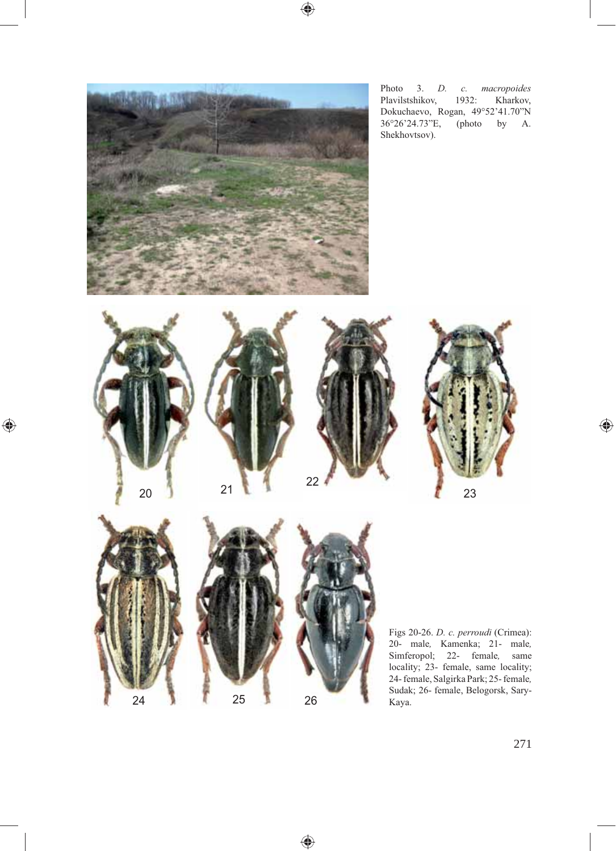



⊕

 $\bigoplus$ 

Photo 3. *D. c. macropoides*  Plavilstshikov, 1932: Kharkov, Dokuchaevo, Rogan, 49°52'41.70"N 36°26'24.73"E, (photo by A.

 $\bigoplus$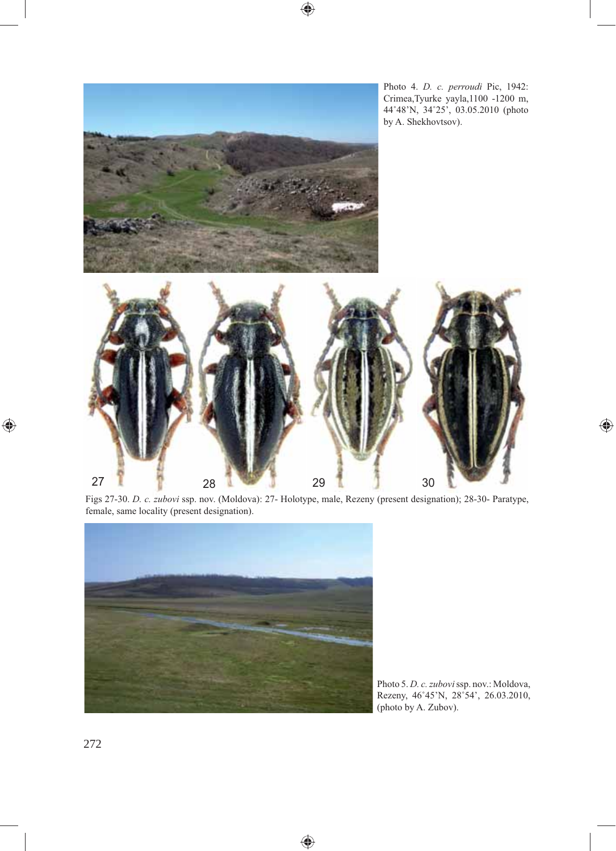

Photo 4. *D. c. perroudi* Pic, 1942: Crimea,Tyurke yayla,1100 -1200 m, 44˚48'N, 34˚25', 03.05.2010 (photo by A. Shekhovtsov).



 $\bigoplus$ 

Figs 27-30. *D. c. zubovi* ssp. nov. (Moldova): 27- Holotype, male, Rezeny (present designation); 28-30- Paratype, female, same locality (present designation).

◈



Photo 5. *D. c. zubovi* ssp. nov.: Moldova, Rezeny, 46˚45'N, 28˚54', 26.03.2010, (photo by A. Zubov).

◈

272

 $\bigoplus$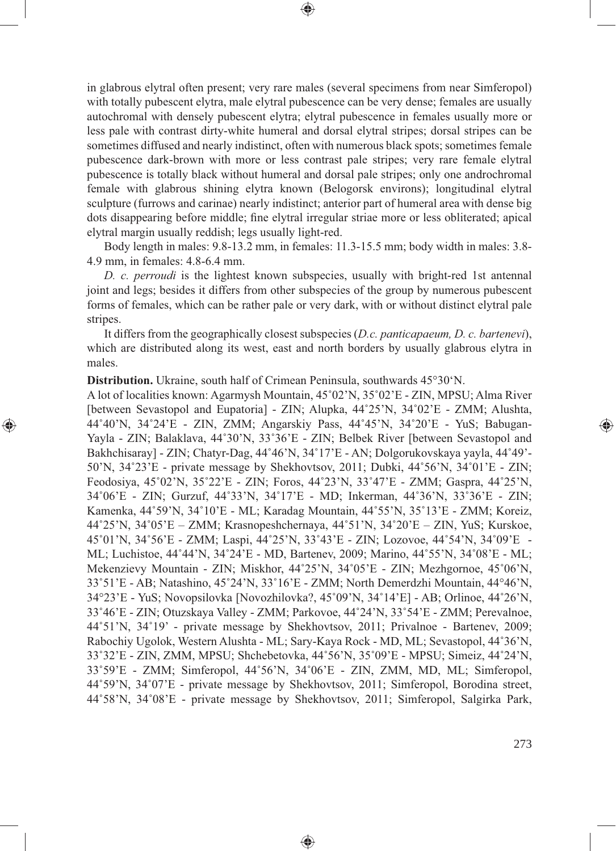in glabrous elytral often present; very rare males (several specimens from near Simferopol) with totally pubescent elytra, male elytral pubescence can be very dense; females are usually autochromal with densely pubescent elytra; elytral pubescence in females usually more or less pale with contrast dirty-white humeral and dorsal elytral stripes; dorsal stripes can be sometimes diffused and nearly indistinct, often with numerous black spots; sometimes female pubescence dark-brown with more or less contrast pale stripes; very rare female elytral pubescence is totally black without humeral and dorsal pale stripes; only one androchromal female with glabrous shining elytra known (Belogorsk environs); longitudinal elytral sculpture (furrows and carinae) nearly indistinct; anterior part of humeral area with dense big dots disappearing before middle; fine elytral irregular striae more or less obliterated; apical elytral margin usually reddish; legs usually light-red.

⊕

Body length in males: 9.8-13.2 mm, in females: 11.3-15.5 mm; body width in males: 3.8- 4.9 mm, in females: 4.8-6.4 mm.

*D. c. perroudi* is the lightest known subspecies, usually with bright-red 1st antennal joint and legs; besides it differs from other subspecies of the group by numerous pubescent forms of females, which can be rather pale or very dark, with or without distinct elytral pale stripes.

It differs from the geographically closest subspecies (*D.c. panticapaeum, D. c. bartenevi*), which are distributed along its west, east and north borders by usually glabrous elytra in males.

**Distribution.** Ukraine, south half of Crimean Peninsula, southwards 45°30'N.

⊕

A lot of localities known: Agarmysh Mountain, 45˚02'N, 35˚02'E - ZIN, MPSU; Alma River [between Sevastopol and Eupatoria] - ZIN; Alupka, 44˚25'N, 34˚02'E - ZMM; Alushta, 44˚40'N, 34˚24'E - ZIN, ZMM; Angarskiy Pass, 44˚45'N, 34˚20'E - YuS; Babugan-Yayla - ZIN; Balaklava, 44˚30'N, 33˚36'E - ZIN; Belbek River [between Sevastopol and Bakhchisaray] - ZIN; Chatyr-Dag, 44˚46'N, 34˚17'E - AN; Dolgorukovskaya yayla, 44˚49'- 50'N, 34˚23'E - private message by Shekhovtsov, 2011; Dubki, 44˚56'N, 34˚01'E - ZIN; Feodosiya, 45˚02'N, 35˚22'E - ZIN; Foros, 44˚23'N, 33˚47'E - ZMM; Gaspra, 44˚25'N, 34˚06'E - ZIN; Gurzuf, 44˚33'N, 34˚17'E - MD; Inkerman, 44˚36'N, 33˚36'E - ZIN; Kamenka, 44˚59'N, 34˚10'E - ML; Karadag Mountain, 44˚55'N, 35˚13'E - ZMM; Koreiz, 44˚25'N, 34˚05'E – ZMM; Krasnopeshchernaya, 44˚51'N, 34˚20'E – ZIN, YuS; Kurskoe, 45˚01'N, 34˚56'E - ZMM; Laspi, 44˚25'N, 33˚43'E - ZIN; Lozovoe, 44˚54'N, 34˚09'E - ML; Luchistoe, 44˚44'N, 34˚24'E - MD, Bartenev, 2009; Marino, 44˚55'N, 34˚08'E - ML; Mekenzievy Mountain - ZIN; Miskhor, 44˚25'N, 34˚05'E - ZIN; Mezhgornoe, 45˚06'N, 33˚51'E - AB; Natashino, 45˚24'N, 33˚16'E - ZMM; North Demerdzhi Mountain, 44°46'N, 34°23'E - YuS; Novopsilovka [Novozhilovka?, 45˚09'N, 34˚14'E] - AB; Orlinoe, 44˚26'N, 33˚46'E - ZIN; Otuzskaya Valley - ZMM; Parkovoe, 44˚24'N, 33˚54'E - ZMM; Perevalnoe, 44˚51'N, 34˚19' - private message by Shekhovtsov, 2011; Privalnoe - Bartenev, 2009; Rabochiy Ugolok, Western Alushta - ML; Sary-Kaya Rock - MD, ML; Sevastopol, 44˚36'N, 33˚32'E - ZIN, ZMM, MPSU; Shchebetovka, 44˚56'N, 35˚09'E - MPSU; Simeiz, 44˚24'N, 33˚59'E - ZMM; Simferopol, 44˚56'N, 34˚06'E - ZIN, ZMM, MD, ML; Simferopol, 44˚59'N, 34˚07'E - private message by Shekhovtsov, 2011; Simferopol, Borodina street, 44˚58'N, 34˚08'E - private message by Shekhovtsov, 2011; Simferopol, Salgirka Park,

♠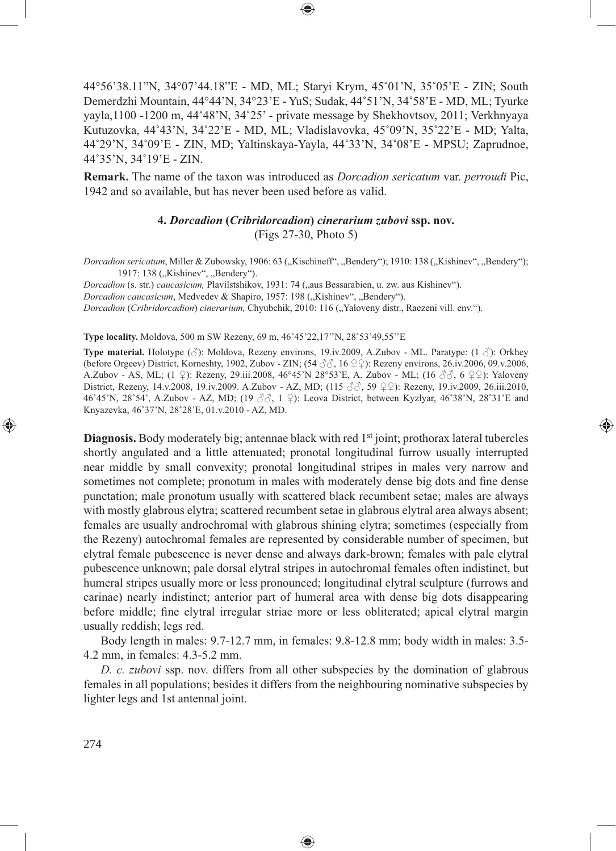44°56'38.11"N, 34°07'44.18"E - MD, ML; Staryi Krym, 45˚01'N, 35˚05'E - ZIN; South Demerdzhi Mountain, 44°44'N, 34°23'E - YuS; Sudak, 44˚51'N, 34˚58'E - MD, ML; Tyurke yayla,1100 -1200 m, 44˚48'N, 34˚25' - private message by Shekhovtsov, 2011; Verkhnyaya Kutuzovka, 44˚43'N, 34˚22'E - MD, ML; Vladislavovka, 45˚09'N, 35˚22'E - MD; Yalta, 44˚29'N, 34˚09'E - ZIN, MD; Yaltinskaya-Yayla, 44˚33'N, 34˚08'E - MPSU; Zaprudnoe, 44˚35'N, 34˚19'E - ZIN.

**Remark.** The name of the taxon was introduced as *Dorcadion sericatum* var. *perroudi* Pic, 1942 and so available, but has never been used before as valid.

## **4.** *Dorcadion* **(***Cribridorcadion***)** *cinerarium zubovi* **ssp. nov.** (Figs 27-30, Photo 5)

*Dorcadion sericatum*, Miller & Zubowsky, 1906: 63 ("Kischineff", "Bendery"); 1910: 138 ("Kishinev", "Bendery"); 1917: 138 ("Kishinev", "Bendery").

*Dorcadion* (s. str.) *caucasicum*, Plavilstshikov, 1931: 74 ("aus Bessarabien, u. zw. aus Kishinev"). *Dorcadion caucasicum*, Medvedev & Shapiro, 1957: 198 ("Kishinev", "Bendery"). *Dorcadion (Cribridorcadion) cinerarium, Chyubchik, 2010: 116 ("Yaloveny distr., Raezeni vill. env.").* 

**Type locality.** Moldova, 500 m SW Rezeny, 69 m, 46˚45'22,17''N, 28˚53'49,55''E

**Type material.** Holotype (♂): Moldova, Rezeny environs, 19.iv.2009, A.Zubov - ML. Paratype: (1 ♂): Orkhey (before Orgeev) District, Korneshty, 1902, Zubov - ZIN; (54  $\Im \Im$ , 16  $\Im \Im$ ): Rezeny environs, 26.iv.2006, 09.v.2006, A.Zubov - AS, ML; (1 ♀): Rezeny, 29.iii.2008, 46°45'N 28°53'E, A. Zubov - ML; (16  $\Im\Im$ , 6 ♀♀): Yaloveny District, Rezeny, 14.v.2008, 19.iv.2009. A.Zubov - AZ, MD; (115 ♂♂, 59 ♀♀): Rezeny, 19.iv.2009, 26.iii.2010, 46˚45'N, 28˚54', A.Zubov - AZ, MD; (19 ♂♂, 1 ♀): Leova District, between Kyzlyar, 46˚38'N, 28˚31'E and Knyazevka, 46˚37'N, 28˚28'E, 01.v.2010 - AZ, MD.

⊕

**Diagnosis.** Body moderately big; antennae black with red 1<sup>st</sup> joint; prothorax lateral tubercles shortly angulated and a little attenuated; pronotal longitudinal furrow usually interrupted near middle by small convexity; pronotal longitudinal stripes in males very narrow and sometimes not complete; pronotum in males with moderately dense big dots and fine dense punctation; male pronotum usually with scattered black recumbent setae; males are always with mostly glabrous elytra; scattered recumbent setae in glabrous elytral area always absent; females are usually androchromal with glabrous shining elytra; sometimes (especially from the Rezeny) autochromal females are represented by considerable number of specimen, but elytral female pubescence is never dense and always dark-brown; females with pale elytral pubescence unknown; pale dorsal elytral stripes in autochromal females often indistinct, but humeral stripes usually more or less pronounced; longitudinal elytral sculpture (furrows and carinae) nearly indistinct; anterior part of humeral area with dense big dots disappearing before middle; fine elytral irregular striae more or less obliterated; apical elytral margin usually reddish; legs red.

Body length in males: 9.7-12.7 mm, in females: 9.8-12.8 mm; body width in males: 3.5- 4.2 mm, in females: 4.3-5.2 mm.

*D. c. zubovi* ssp. nov. differs from all other subspecies by the domination of glabrous females in all populations; besides it differs from the neighbouring nominative subspecies by lighter legs and 1st antennal joint.

◈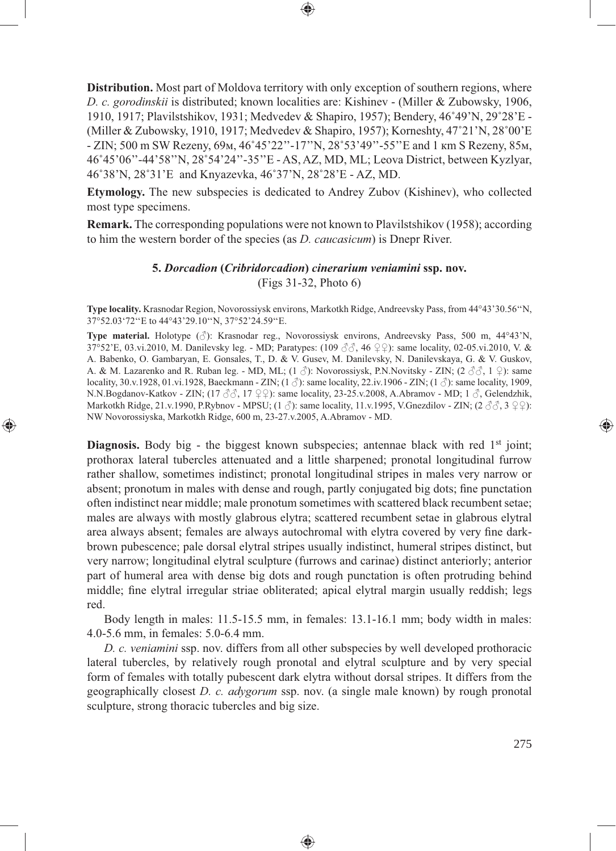**Distribution.** Most part of Moldova territory with only exception of southern regions, where *D. c. gorodinskii* is distributed; known localities are: Kishinev - (Miller & Zubowsky, 1906, 1910, 1917; Plavilstshikov, 1931; Medvedev & Shapiro, 1957); Bendery, 46˚49'N, 29˚28'E - (Miller & Zubowsky, 1910, 1917; Medvedev & Shapiro, 1957); Korneshty, 47˚21'N, 28˚00'E - ZIN; 500 m SW Rezeny, 69м, 46˚45'22''-17''N, 28˚53'49''-55''E and 1 кm S Rezeny, 85м, 46˚45'06''-44'58''N, 28˚54'24''-35''E - AS, AZ, MD, ML; Leova District, between Kyzlyar, 46˚38'N, 28˚31'E and Knyazevka, 46˚37'N, 28˚28'E - AZ, MD.

⊕

**Etymology.** The new subspecies is dedicated to Andrey Zubov (Kishinev), who collected most type specimens.

**Remark.** The corresponding populations were not known to Plavilstshikov (1958); according to him the western border of the species (as *D. caucasicum*) is Dnepr River.

## **5.** *Dorcadion* **(***Cribridorcadion***)** *cinerarium veniamini* **ssp. nov.** (Figs 31-32, Photo 6)

**Type locality.** Krasnodar Region, Novorossiysk environs, Markotkh Ridge, Andreevsky Pass, from 44°43'30.56''N, 37°52.03'72''E to 44°43'29.10''N, 37°52'24.59''E.

**Type material.** Holotype (♂): Krasnodar reg., Novorossiysk environs, Andreevsky Pass, 500 m, 44°43'N, 37°52'E, 03.vi.2010, M. Danilevsky leg. - MD; Paratypes: (109 ♂♂, 46 ♀♀): same locality, 02-05.vi.2010, V. & A. Babenko, O. Gambaryan, E. Gonsales, T., D. & V. Gusev, M. Danilevsky, N. Danilevskaya, G. & V. Guskov, A. & M. Lazarenko and R. Ruban leg. - MD, ML;  $(1 \text{ } \mathcal{S})$ : Novorossiysk, P.N.Novitsky - ZIN;  $(2 \text{ } \mathcal{S} \mathcal{S}, 1 \text{ } \mathcal{Q})$ : same locality, 30.v.1928, 01.vi.1928, Baeckmann - ZIN; (1 ♂): same locality, 22.iv.1906 - ZIN; (1 ♂): same locality, 1909, N.N.Bogdanov-Katkov - ZIN; (17  $\Im \Im$ , 17  $\Im \Im$ ): same locality, 23-25.v.2008, A.Abramov - MD; 1  $\Im$ , Gelendzhik, Markotkh Ridge, 21.v.1990, P.Rybnov - MPSU; (1  $\Diamond$ ): same locality, 11.v.1995, V.Gnezdilov - ZIN; (2  $\Diamond \Diamond$ , 3  $\Diamond \Diamond$ ): NW Novorossiyska, Markotkh Ridge, 600 m, 23-27.v.2005, A.Abramov - MD.

⊕

Diagnosis. Body big - the biggest known subspecies; antennae black with red 1<sup>st</sup> joint; prothorax lateral tubercles attenuated and a little sharpened; pronotal longitudinal furrow rather shallow, sometimes indistinct; pronotal longitudinal stripes in males very narrow or absent; pronotum in males with dense and rough, partly conjugated big dots; fine punctation often indistinct near middle; male pronotum sometimes with scattered black recumbent setae; males are always with mostly glabrous elytra; scattered recumbent setae in glabrous elytral area always absent; females are always autochromal with elytra covered by very fine darkbrown pubescence; pale dorsal elytral stripes usually indistinct, humeral stripes distinct, but very narrow; longitudinal elytral sculpture (furrows and carinae) distinct anteriorly; anterior part of humeral area with dense big dots and rough punctation is often protruding behind middle; fine elytral irregular striae obliterated; apical elytral margin usually reddish; legs red.

Body length in males: 11.5-15.5 mm, in females: 13.1-16.1 mm; body width in males: 4.0-5.6 mm, in females: 5.0-6.4 mm.

*D. с. veniamini* ssp. nov. differs from all other subspecies by well developed prothoracic lateral tubercles, by relatively rough pronotal and elytral sculpture and by very special form of females with totally pubescent dark elytra without dorsal stripes. It differs from the geographically closest *D. с. adygorum* ssp. nov. (a single male known) by rough pronotal sculpture, strong thoracic tubercles and big size.

♠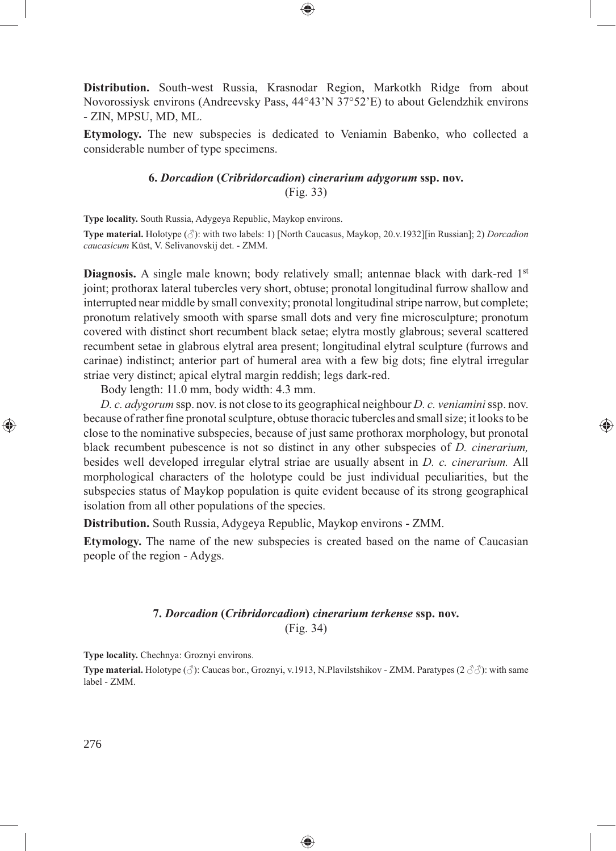**Distribution.** South-west Russia, Krasnodar Region, Markotkh Ridge from about Novorossiysk environs (Andreevsky Pass, 44°43'N 37°52'E) to about Gelendzhik environs - ZIN, MPSU, MD, ML.

⊕

**Etymology.** The new subspecies is dedicated to Veniamin Babenko, who collected a considerable number of type specimens.

# **6.** *Dorcadion* **(***Cribridorcadion***)** *cinerarium adygorum* **ssp. nov.** (Fig. 33)

**Type locality.** South Russia, Adygeya Republic, Maykop environs.

**Type material.** Holotype (♂): with two labels: 1) [North Caucasus, Maykop, 20.v.1932][in Russian]; 2) *Dorcadion caucasicum* Küst, V. Selivanovskij det. - ZMM.

**Diagnosis.** A single male known; body relatively small; antennae black with dark-red 1<sup>st</sup> joint; prothorax lateral tubercles very short, obtuse; pronotal longitudinal furrow shallow and interrupted near middle by small convexity; pronotal longitudinal stripe narrow, but complete; pronotum relatively smooth with sparse small dots and very fine microsculpture; pronotum covered with distinct short recumbent black setae; elytra mostly glabrous; several scattered recumbent setae in glabrous elytral area present; longitudinal elytral sculpture (furrows and carinae) indistinct; anterior part of humeral area with a few big dots; fine elytral irregular striae very distinct; apical elytral margin reddish; legs dark-red.

Body length: 11.0 mm, body width: 4.3 mm.

*D. c. adygorum* ssp. nov. is not close to its geographical neighbour *D. с. veniamini* ssp. nov. because of rather fine pronotal sculpture, obtuse thoracic tubercles and small size; it looks to be close to the nominative subspecies, because of just same prothorax morphology, but pronotal black recumbent pubescence is not so distinct in any other subspecies of *D. cinerarium,* besides well developed irregular elytral striae are usually absent in *D. c. cinerarium.* All morphological characters of the holotype could be just individual peculiarities, but the subspecies status of Maykop population is quite evident because of its strong geographical isolation from all other populations of the species.

⊕

**Distribution.** South Russia, Adygeya Republic, Maykop environs - ZMM.

**Etymology.** The name of the new subspecies is created based on the name of Caucasian people of the region - Adygs.

## **7.** *Dorcadion* **(***Cribridorcadion***)** *cinerarium terkense* **ssp. nov.** (Fig. 34)

**Type locality.** Chechnya: Groznyi environs.

**Type material.** Holotype ( $\Diamond$ ): Caucas bor., Groznyi, v.1913, N.Plavilstshikov - ZMM. Paratypes ( $2 \Diamond \Diamond \Diamond$ ): with same label - ZMM.

◈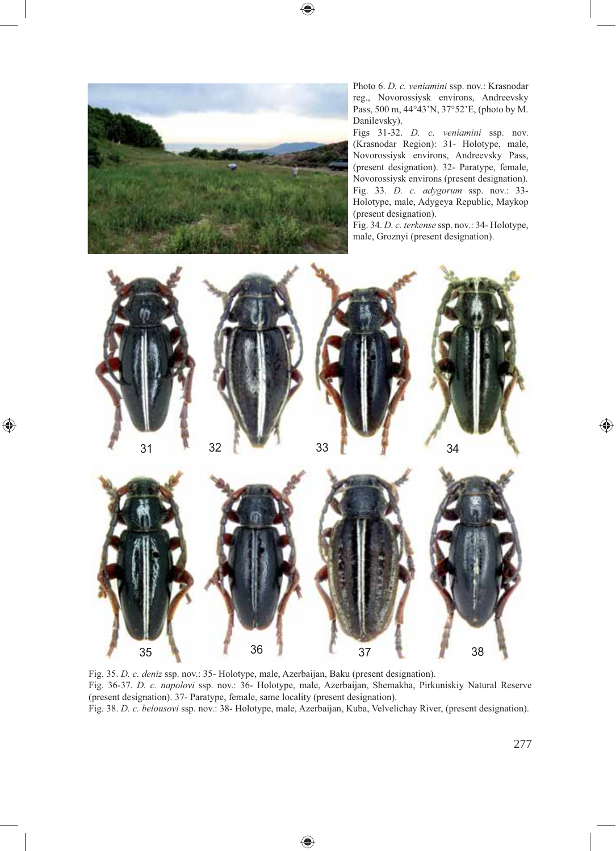$\bigcirc\hspace{-1.45pt}\bigcirc$ 



⊕

Photo 6. *D. c. veniamini* ssp. nov.: Krasnodar reg., Novorossiysk environs, Andreevsky Pass, 500 m, 44°43'N, 37°52'E, (photo by M. Danilevsky).

Figs 31-32. *D. c. veniamini* ssp. nov. (Krasnodar Region): 31- Holotype, male, Novorossiysk environs, Andreevsky Pass, (present designation). 32- Paratype, female, Novorossiysk environs (present designation). Fig. 33. *D. c. adygorum* ssp. nov.: 33- Holotype, male, Adygeya Republic, Maykop (present designation).

Fig. 34. *D. c. terkense* ssp. nov.: 34- Holotype, male, Groznyi (present designation).



Fig. 35. *D. c. deniz* ssp. nov.: 35- Holotype, male, Azerbaijan, Baku (present designation). Fig. 36-37. *D. c. napolovi* ssp. nov.: 36- Holotype, male, Azerbaijan, Shemakha, Pirkuniskiy Natural Reserve (present designation). 37- Paratype, female, same locality (present designation). Fig. 38. *D. c. belousovi* ssp. nov.: 38- Holotype, male, Azerbaijan, Kuba, Velvelichay River, (present designation).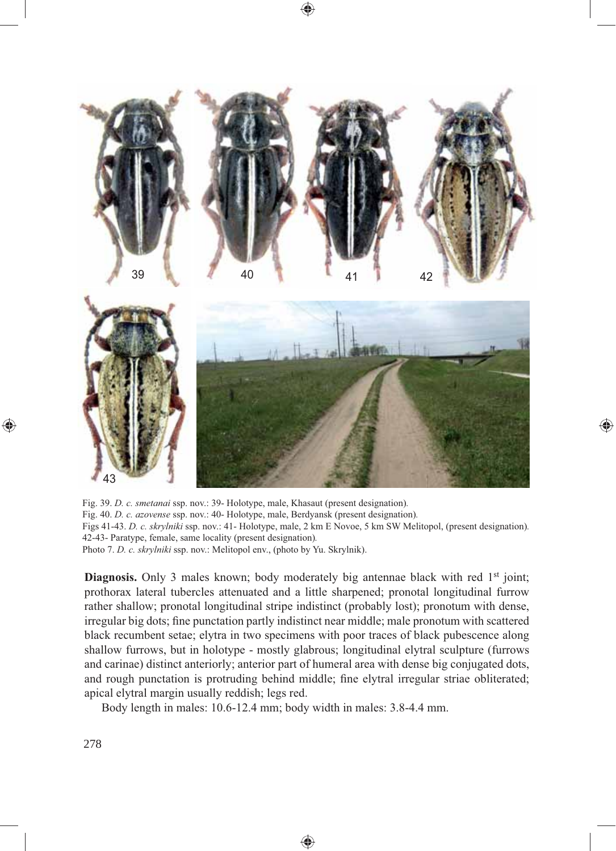

Fig. 39. *D. c. smetanai* ssp. nov.: 39- Holotype, male, Khasaut (present designation)*.* Fig. 40. *D. c. azovense* ssp. nov.: 40- Holotype, male, Berdyansk (present designation)*.* Figs 41-43. *D. c. skrylniki* ssp. nov.: 41- Holotype, male, 2 km E Novoe, 5 km SW Melitopol, (present designation)*.* 42-43- Paratype, female, same locality (present designation)*.* Photo 7. *D. c. skrylniki* ssp. nov.: Melitopol env., (photo by Yu. Skrylnik).

♠

**Diagnosis.** Only 3 males known; body moderately big antennae black with red 1<sup>st</sup> joint; prothorax lateral tubercles attenuated and a little sharpened; pronotal longitudinal furrow rather shallow; pronotal longitudinal stripe indistinct (probably lost); pronotum with dense, irregular big dots; fine punctation partly indistinct near middle; male pronotum with scattered black recumbent setae; elytra in two specimens with poor traces of black pubescence along shallow furrows, but in holotype - mostly glabrous; longitudinal elytral sculpture (furrows and carinae) distinct anteriorly; anterior part of humeral area with dense big conjugated dots, and rough punctation is protruding behind middle; fine elytral irregular striae obliterated; apical elytral margin usually reddish; legs red.

Body length in males: 10.6-12.4 mm; body width in males: 3.8-4.4 mm.

◈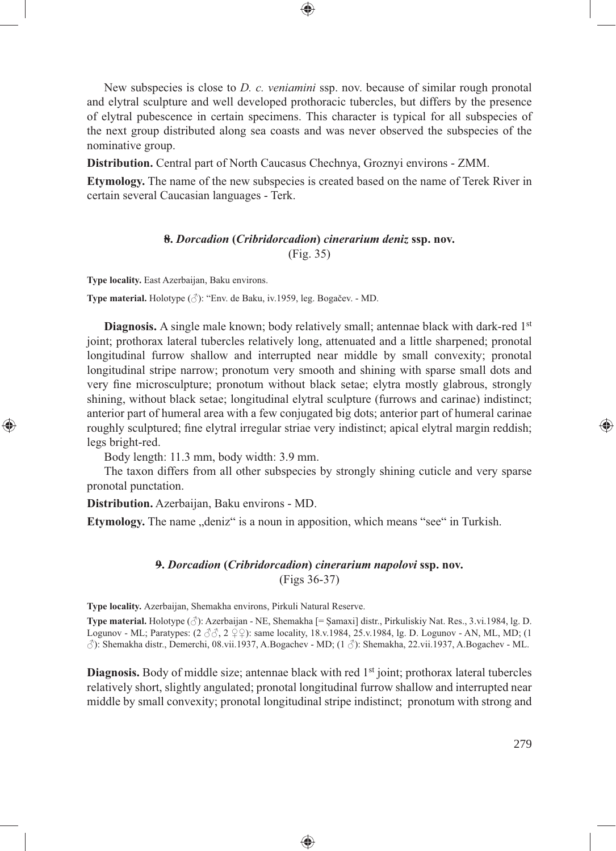New subspecies is close to *D. c. veniamini* ssp. nov. because of similar rough pronotal and elytral sculpture and well developed prothoracic tubercles, but differs by the presence of elytral pubescence in certain specimens. This character is typical for all subspecies of the next group distributed along sea coasts and was never observed the subspecies of the nominative group.

⊕

**Distribution.** Central part of North Caucasus Chechnya, Groznyi environs - ZMM.

**Etymology.** The name of the new subspecies is created based on the name of Terek River in certain several Caucasian languages - Terk.

### **8.** *Dorcadion* **(***Cribridorcadion***)** *cinerarium deniz* **ssp. nov.** (Fig. 35)

**Type locality.** East Azerbaijan, Baku environs.

⊕

**Type material.** Holotype (♂): "Env. de Baku, iv.1959, leg. Bogačev. - MD.

**Diagnosis.** A single male known; body relatively small; antennae black with dark-red 1<sup>st</sup> joint; prothorax lateral tubercles relatively long, attenuated and a little sharpened; pronotal longitudinal furrow shallow and interrupted near middle by small convexity; pronotal longitudinal stripe narrow; pronotum very smooth and shining with sparse small dots and very fine microsculpture; pronotum without black setae; elytra mostly glabrous, strongly shining, without black setae; longitudinal elytral sculpture (furrows and carinae) indistinct; anterior part of humeral area with a few conjugated big dots; anterior part of humeral carinae roughly sculptured; fine elytral irregular striae very indistinct; apical elytral margin reddish; legs bright-red.

Body length: 11.3 mm, body width: 3.9 mm.

The taxon differs from all other subspecies by strongly shining cuticle and very sparse pronotal punctation.

**Distribution.** Azerbaijan, Baku environs - MD.

**Etymology.** The name "deniz" is a noun in apposition, which means "see" in Turkish.

### **9.** *Dorcadion* **(***Cribridorcadion***)** *cinerarium napolovi* **ssp. nov.** (Figs 36-37)

**Type locality.** Azerbaijan, Shemakha environs, Pirkuli Natural Reserve.

**Type material.** Holotype (♂): Azerbaijan - NE, Shemakha [= Şamaxi] distr., Pirkuliskiy Nat. Res., 3.vi.1984, lg. D. Logunov - ML; Paratypes:  $(2 \text{ } \text{\textdegree} \text{)}$ ,  $2 \text{ } \text{ } \text{ } \text{)}$ : same locality, 18.v.1984, 25.v.1984, 1g. D. Logunov - AN, ML, MD; (1) ♂): Shemakha distr., Demerchi, 08.vii.1937, A.Bogachev - MD; (1 ♂): Shemakha, 22.vii.1937, A.Bogachev - ML.

**Diagnosis.** Body of middle size; antennae black with red 1<sup>st</sup> joint; prothorax lateral tubercles relatively short, slightly angulated; pronotal longitudinal furrow shallow and interrupted near middle by small convexity; pronotal longitudinal stripe indistinct; pronotum with strong and

◈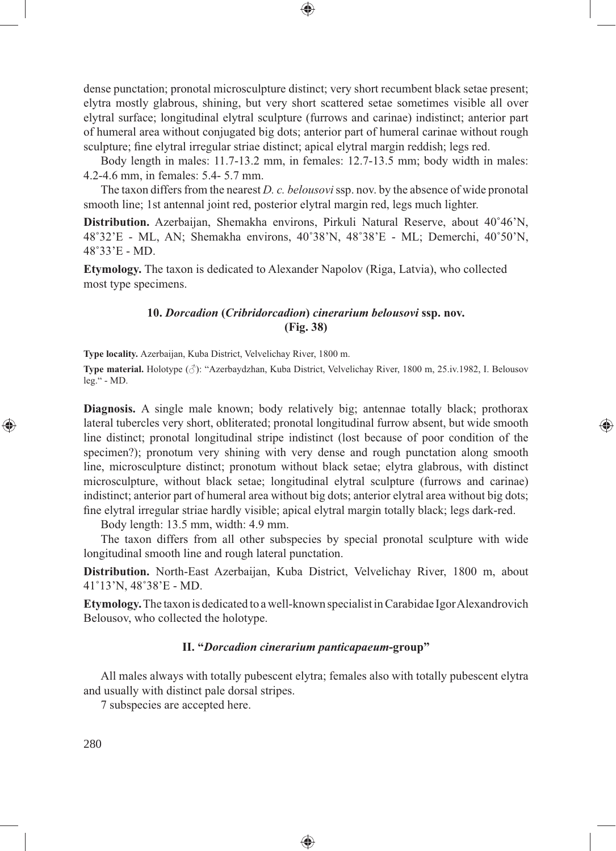dense punctation; pronotal microsculpture distinct; very short recumbent black setae present; elytra mostly glabrous, shining, but very short scattered setae sometimes visible all over elytral surface; longitudinal elytral sculpture (furrows and carinae) indistinct; anterior part of humeral area without conjugated big dots; anterior part of humeral carinae without rough sculpture; fine elytral irregular striae distinct; apical elytral margin reddish; legs red.

⊕

Body length in males: 11.7-13.2 mm, in females: 12.7-13.5 mm; body width in males: 4.2-4.6 mm, in females: 5.4- 5.7 mm.

The taxon differs from the nearest *D. c. belousovi* ssp. nov. by the absence of wide pronotal smooth line; 1st antennal joint red, posterior elytral margin red, legs much lighter.

**Distribution.** Azerbaijan, Shemakha environs, Pirkuli Natural Reserve, about 40˚46'N, 48˚32'E - ML, AN; Shemakha environs, 40˚38'N, 48˚38'E - ML; Demerchi, 40˚50'N, 48˚33'E - MD.

**Etymology.** The taxon is dedicated to Alexander Napolov (Riga, Latvia), who collected most type specimens.

# **10.** *Dorcadion* **(***Cribridorcadion***)** *cinerarium belousovi* **ssp. nov. (Fig. 38)**

**Type locality.** Azerbaijan, Kuba District, Velvelichay River, 1800 m.

**Type material.** Holotype (♂): "Azerbaydzhan, Kuba District, Velvelichay River, 1800 m, 25.iv.1982, I. Belousov leg." - MD.

**Diagnosis.** A single male known; body relatively big; antennae totally black; prothorax lateral tubercles very short, obliterated; pronotal longitudinal furrow absent, but wide smooth line distinct; pronotal longitudinal stripe indistinct (lost because of poor condition of the specimen?); pronotum very shining with very dense and rough punctation along smooth line, microsculpture distinct; pronotum without black setae; elytra glabrous, with distinct microsculpture, without black setae; longitudinal elytral sculpture (furrows and carinae) indistinct; anterior part of humeral area without big dots; anterior elytral area without big dots; fine elytral irregular striae hardly visible; apical elytral margin totally black; legs dark-red.

⊕

Body length: 13.5 mm, width: 4.9 mm.

The taxon differs from all other subspecies by special pronotal sculpture with wide longitudinal smooth line and rough lateral punctation.

**Distribution.** North-East Azerbaijan, Kuba District, Velvelichay River, 1800 m, about 41˚13'N, 48˚38'E - MD.

**Etymology.** The taxon is dedicated to a well-known specialist in Carabidae Igor Alexandrovich Belousov, who collected the holotype.

#### **II. "***Dorcadion cinerarium panticapaeum***-group"**

All males always with totally pubescent elytra; females also with totally pubescent elytra and usually with distinct pale dorsal stripes.

◈

7 subspecies are accepted here.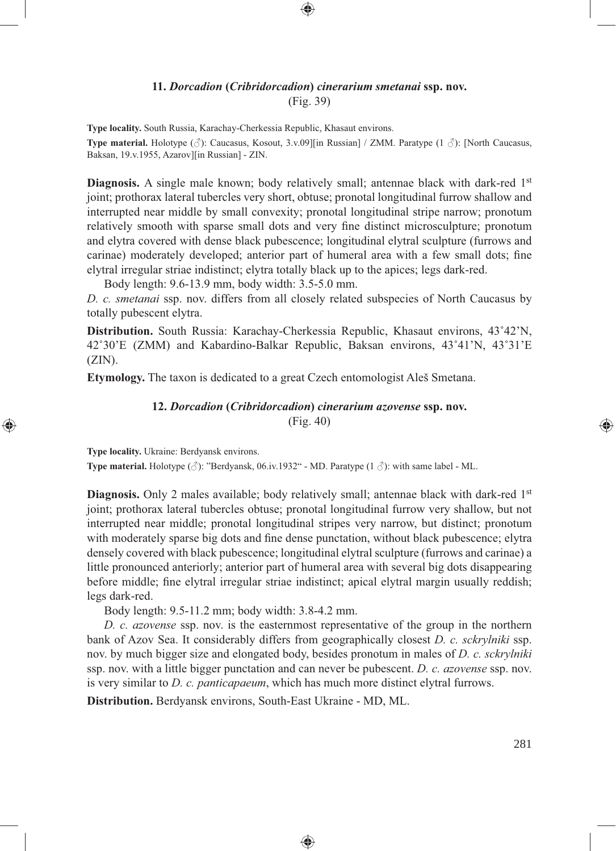### **11.** *Dorcadion* **(***Cribridorcadion***)** *cinerarium smetanai* **ssp. nov.** (Fig. 39)

⊕

**Type locality.** South Russia, Karachay-Cherkessia Republic, Khasaut environs.

**Type material.** Holotype (♂): Caucasus, Kosout, 3.v.09][in Russian] / ZMM. Paratype (1 ♂): [North Caucasus, Baksan, 19.v.1955, Azarov][in Russian] - ZIN.

**Diagnosis.** A single male known; body relatively small; antennae black with dark-red 1<sup>st</sup> joint; prothorax lateral tubercles very short, obtuse; pronotal longitudinal furrow shallow and interrupted near middle by small convexity; pronotal longitudinal stripe narrow; pronotum relatively smooth with sparse small dots and very fine distinct microsculpture; pronotum and elytra covered with dense black pubescence; longitudinal elytral sculpture (furrows and carinae) moderately developed; anterior part of humeral area with a few small dots; fine elytral irregular striae indistinct; elytra totally black up to the apices; legs dark-red.

Body length: 9.6-13.9 mm, body width: 3.5-5.0 mm.

⊕

*D. c. smetanai* ssp. nov. differs from all closely related subspecies of North Caucasus by totally pubescent elytra.

**Distribution.** South Russia: Karachay-Cherkessia Republic, Khasaut environs, 43˚42'N, 42˚30'E (ZMM) and Kabardino-Balkar Republic, Baksan environs, 43˚41'N, 43˚31'E  $(ZIN)$ .

**Etymology.** The taxon is dedicated to a great Czech entomologist Aleš Smetana.

### **12.** *Dorcadion* **(***Cribridorcadion***)** *cinerarium azovense* **ssp. nov.** (Fig. 40)

**Type locality.** Ukraine: Berdyansk environs. **Type material.** Holotype (♂): "Berdyansk, 06.iv.1932" - MD. Paratype (1 ♂): with same label - ML.

**Diagnosis.** Only 2 males available; body relatively small; antennae black with dark-red 1<sup>st</sup> joint; prothorax lateral tubercles obtuse; pronotal longitudinal furrow very shallow, but not interrupted near middle; pronotal longitudinal stripes very narrow, but distinct; pronotum with moderately sparse big dots and fine dense punctation, without black pubescence; elytra densely covered with black pubescence; longitudinal elytral sculpture (furrows and carinae) a little pronounced anteriorly; anterior part of humeral area with several big dots disappearing before middle; fine elytral irregular striae indistinct; apical elytral margin usually reddish; legs dark-red.

Body length: 9.5-11.2 mm; body width: 3.8-4.2 mm.

*D. c. azovense* ssp. nov. is the easternmost representative of the group in the northern bank of Azov Sea. It considerably differs from geographically closest *D. c. sckrylniki* ssp. nov. by much bigger size and elongated body, besides pronotum in males of *D. c. sckrylniki*  ssp. nov. with a little bigger punctation and can never be pubescent. *D. c. azovense* ssp. nov. is very similar to *D. c. panticapaeum*, which has much more distinct elytral furrows.

♠

**Distribution.** Berdyansk environs, South-East Ukraine - MD, ML.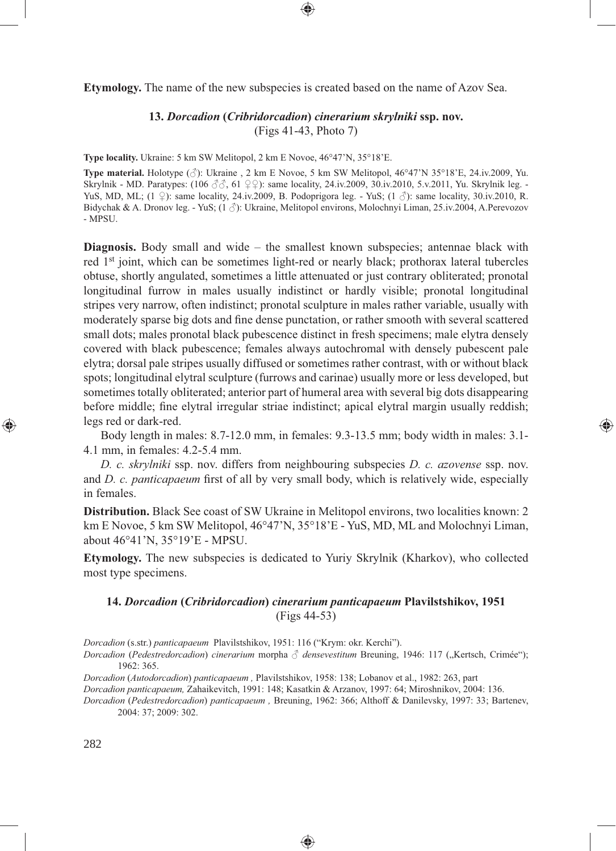**Etymology.** The name of the new subspecies is created based on the name of Azov Sea.

### **13.** *Dorcadion* **(***Cribridorcadion***)** *cinerarium skrylniki* **ssp. nov.** (Figs 41-43, Photo 7)

**Type locality.** Ukraine: 5 km SW Melitopol, 2 km E Novoe, 46°47'N, 35°18'E.

**Type material.** Holotype (♂): Ukraine , 2 km E Novoe, 5 km SW Melitopol, 46°47'N 35°18'E, 24.iv.2009, Yu. Skrylnik - MD. Paratypes: (106  $\beta\beta$ , 61  $\circ$   $\circ$ ): same locality, 24.iv.2009, 30.iv.2010, 5.v.2011, Yu. Skrylnik leg. -YuS, MD, ML; (1  $\circ$ ): same locality, 24.iv.2009, B. Podoprigora leg. - YuS; (1  $\circ$ ): same locality, 30.iv.2010, R. Bidychak & A. Dronov leg. - YuS; (1 ♂): Ukraine, Melitopol environs, Molochnyi Liman, 25.iv.2004, A.Perevozov - MPSU.

**Diagnosis.** Body small and wide – the smallest known subspecies; antennae black with red 1st joint, which can be sometimes light-red or nearly black; prothorax lateral tubercles obtuse, shortly angulated, sometimes a little attenuated or just contrary obliterated; pronotal longitudinal furrow in males usually indistinct or hardly visible; pronotal longitudinal stripes very narrow, often indistinct; pronotal sculpture in males rather variable, usually with moderately sparse big dots and fine dense punctation, or rather smooth with several scattered small dots; males pronotal black pubescence distinct in fresh specimens; male elytra densely covered with black pubescence; females always autochromal with densely pubescent pale elytra; dorsal pale stripes usually diffused or sometimes rather contrast, with or without black spots; longitudinal elytral sculpture (furrows and carinae) usually more or less developed, but sometimes totally obliterated; anterior part of humeral area with several big dots disappearing before middle; fine elytral irregular striae indistinct; apical elytral margin usually reddish; legs red or dark-red.

Body length in males: 8.7-12.0 mm, in females: 9.3-13.5 mm; body width in males: 3.1- 4.1 mm, in females: 4.2-5.4 mm.

⊕

*D. c. skrylniki* ssp. nov. differs from neighbouring subspecies *D. c. azovense* ssp. nov. and *D. c. panticapaeum* first of all by very small body, which is relatively wide, especially in females.

**Distribution.** Black See coast of SW Ukraine in Melitopol environs, two localities known: 2 km E Novoe, 5 km SW Melitopol, 46°47'N, 35°18'E - YuS, MD, ML and Molochnyi Liman, about 46°41'N, 35°19'E - MPSU.

**Etymology.** The new subspecies is dedicated to Yuriy Skrylnik (Kharkov), who collected most type specimens.

### **14.** *Dorcadion* **(***Cribridorcadion***)** *cinerarium panticapaeum* **Plavilstshikov, 1951** (Figs 44-53)

*Dorcadion* (s.str.) *panticapaeum* Plavilstshikov, 1951: 116 ("Krym: okr. Kerchi").

*Dorcadion (Pedestredorcadion) cinerarium* morpha ♂ *densevestitum* Breuning, 1946: 117 ("Kertsch, Crimée"); 1962: 365.

*Dorcadion* (*Autodorcadion*) *panticapaeum ,* Plavilstshikov, 1958: 138; Lobanov et al., 1982: 263, part

*Dorcadion panticapaeum,* Zahaikevitch, 1991: 148; Kasatkin & Arzanov, 1997: 64; Miroshnikov, 2004: 136.

*Dorcadion* (*Pedestredorcadion*) *panticapaeum ,* Breuning, 1962: 366; Althoff & Danilevsky, 1997: 33; Bartenev, 2004: 37; 2009: 302.

◈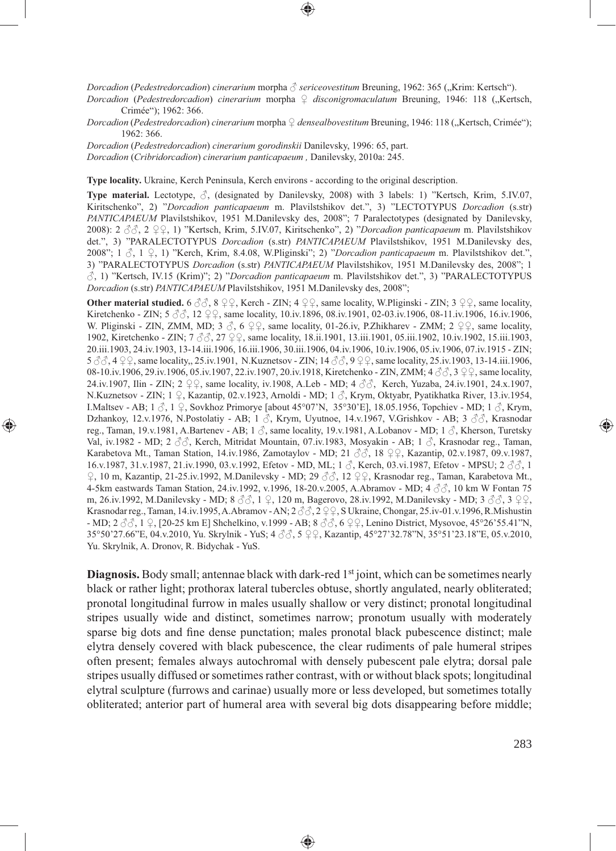*Dorcadion* (*Pedestredorcadion*) *cinerarium* morpha ♂ *sericeovestitum* Breuning, 1962: 365 ("Krim: Kertsch").

*Dorcadion* (*Pedestredorcadion*) *cinerarium* morpha ♀ *disconigromaculatum* Breuning, 1946: 118 ("Kertsch, Crimée"); 1962: 366.

*Dorcadion (Pedestredorcadion)* cinerarium morpha ♀ densealbovestitum Breuning, 1946: 118 ("Kertsch, Crimée"); 1962: 366.

*Dorcadion* (*Pedestredorcadion*) *cinerarium gorodinskii* Danilevsky, 1996: 65, part.

*Dorcadion* (*Cribridorcadion*) *cinerarium panticapaeum ,* Danilevsky, 2010a: 245.

⊕

**Type locality.** Ukraine, Kerch Peninsula, Kerch environs - according to the original description.

**Type material.** Lectotype,  $\beta$ , (designated by Danilevsky, 2008) with 3 labels: 1) "Kertsch, Krim, 5.IV.07, Kiritschenko", 2) "*Dorcadion panticapaeum* m. Plavilstshikov det.", 3) "LECTOTYPUS *Dorcadion* (s.str) *PANTICAPAEUM* Plavilstshikov, 1951 M.Danilevsky des, 2008"; 7 Paralectotypes (designated by Danilevsky, 2008): 2 ♂♂, 2 ♀♀, 1) "Kertsch, Krim, 5.IV.07, Kiritschenko", 2) "*Dorcadion panticapaeum* m. Plavilstshikov det.", 3) "PARALECTOTYPUS *Dorcadion* (s.str) *PANTICAPAEUM* Plavilstshikov, 1951 M.Danilevsky des, 2008"; 1 ♂, 1 ♀, 1) "Kerch, Krim, 8.4.08, W.Pliginski"; 2) "*Dorcadion panticapaeum* m. Plavilstshikov det.", 3) "PARALECTOTYPUS *Dorcadion* (s.str) *PANTICAPAEUM* Plavilstshikov, 1951 M.Danilevsky des, 2008"; 1 ♂, 1) "Kertsch, IV.15 (Krim)"; 2) "*Dorcadion panticapaeum* m. Plavilstshikov det.", 3) "PARALECTOTYPUS *Dorcadion* (s.str) *PANTICAPAEUM* Plavilstshikov, 1951 M.Danilevsky des, 2008";

**Other material studied.** 6  $\partial \partial$ , 8  $\partial \Omega$ , Kerch - ZIN; 4  $\partial \Omega$ , same locality, W.Pliginski - ZIN; 3  $\partial \Omega$ , same locality, Kiretchenko - ZIN; 5 ♂√, 12 ♀♀, same locality, 10.iv.1896, 08.iv.1901, 02-03.iv.1906, 08-11.iv.1906, 16.iv.1906, W. Pliginski - ZIN, ZMM, MD; 3  $\Im$ , 6  $\Im$  9, same locality, 01-26.iv, P.Zhikharev - ZMM; 2  $\Im$  9, same locality, 1902, Kiretchenko - ZIN; 7 ♂♂, 27 ♀♀, same locality, 18.ii.1901, 13.iii.1901, 05.iii.1902, 10.iv.1902, 15.iii.1903, 20.iii.1903, 24.iv.1903, 13-14.iii.1906, 16.iii.1906, 30.iii.1906, 04.iv.1906, 10.iv.1906, 05.iv.1906, 07.iv.1915 - ZIN; 5  $3/3$ , 4  $9$   $9$ , same locality,, 25.iv.1901, N.Kuznetsov - ZIN; 14  $3/3$ , 9  $9$   $9$ , same locality, 25.iv.1903, 13-14.iii.1906, 08-10.iv.1906, 29.iv.1906, 05.iv.1907, 22.iv.1907, 20.iv.1918, Kiretchenko - ZIN, ZMM; 4 ♂ 3 ♀ , same locality, 24.iv.1907, Ilin - ZIN; 2 ♀♀, same locality, iv.1908, A.Leb - MD; 4 ♂♂, Kerch, Yuzaba, 24.iv.1901, 24.x.1907, N.Kuznetsov - ZIN; 1 ♀, Kazantip, 02.v.1923, Arnoldi - MD; 1 ♂, Krym, Oktyabr, Pyatikhatka River, 13.iv.1954, I.Maltsev - AB;  $1 \text{ } \Diamond$ ,  $1 \text{ } \Diamond$ , Sovkhoz Primorye [about 45°07'N, 35°30'E], 18.05.1956, Topchiev - MD;  $1 \text{ } \Diamond$ , Krym, Dzhankoy, 12.v.1976, N.Postolatiy - AB; 1  $\beta$ , Krym, Uyutnoe, 14.v.1967, V.Grishkov - AB; 3  $\beta\beta$ , Krasnodar reg., Taman, 19.v.1981, A.Bartenev - AB; 1 ♂, same locality, 19.v.1981, A.Lobanov - MD; 1 ♂, Kherson, Turetsky Val, iv.1982 - MD; 2 ♂♂, Kerch, Mitridat Mountain, 07.iv.1983, Mosyakin - AB; 1 ♂, Krasnodar reg., Taman, Karabetova Mt., Taman Station, 14.iv.1986, Zamotaylov - MD; 21  $\Im$ , 18  $\Im$ , Kazantip, 02.v.1987, 09.v.1987, 16.v.1987, 31.v.1987, 21.iv.1990, 03.v.1992, Efetov - MD, ML; 1 ♂, Kerch, 03.vi.1987, Efetov - MPSU; 2 ♂♂, 1 ♀, 10 m, Kazantip, 21-25.iv.1992, M.Danilevsky - MD; 29 ♂♂, 12 ♀♀, Krasnodar reg., Taman, Karabetova Mt., 4-5km eastwards Taman Station, 24.iv.1992, v.1996, 18-20.v.2005, A.Abramov - MD; 4 ♂♂, 10 km W Fontan 75 m, 26.iv.1992, M.Danilevsky - MD;  $8 \text{ }\mathcal{S} \mathcal{S}$ , 1  $\varphi$ , 120 m, Bagerovo, 28.iv.1992, M.Danilevsky - MD; 3  $\mathcal{S} \mathcal{S}$ , 3  $\varphi \varphi$ , Krasnodar reg., Taman, 14.iv.1995, A.Abramov - AN; 2 ♂♂, 2 ♀♀, S Ukraine, Chongar, 25.iv-01.v.1996, R.Mishustin - MD; 2 ♂♂, 1 ♀, [20-25 km E] Shchelkino, v.1999 - AB; 8 ♂♂, 6 ♀♀, Lenino District, Mysovoe, 45°26'55.41"N, 35°50'27.66"E, 04.v.2010, Yu. Skrylnik - YuS; 4 ♂♂, 5 ♀♀, Kazantip, 45°27'32.78"N, 35°51'23.18"E, 05.v.2010, Yu. Skrylnik, A. Dronov, R. Bidychak - YuS.

**Diagnosis.** Body small; antennae black with dark-red 1<sup>st</sup> joint, which can be sometimes nearly black or rather light; prothorax lateral tubercles obtuse, shortly angulated, nearly obliterated; pronotal longitudinal furrow in males usually shallow or very distinct; pronotal longitudinal stripes usually wide and distinct, sometimes narrow; pronotum usually with moderately sparse big dots and fine dense punctation; males pronotal black pubescence distinct; male elytra densely covered with black pubescence, the clear rudiments of pale humeral stripes often present; females always autochromal with densely pubescent pale elytra; dorsal pale stripes usually diffused or sometimes rather contrast, with or without black spots; longitudinal elytral sculpture (furrows and carinae) usually more or less developed, but sometimes totally obliterated; anterior part of humeral area with several big dots disappearing before middle;

⊕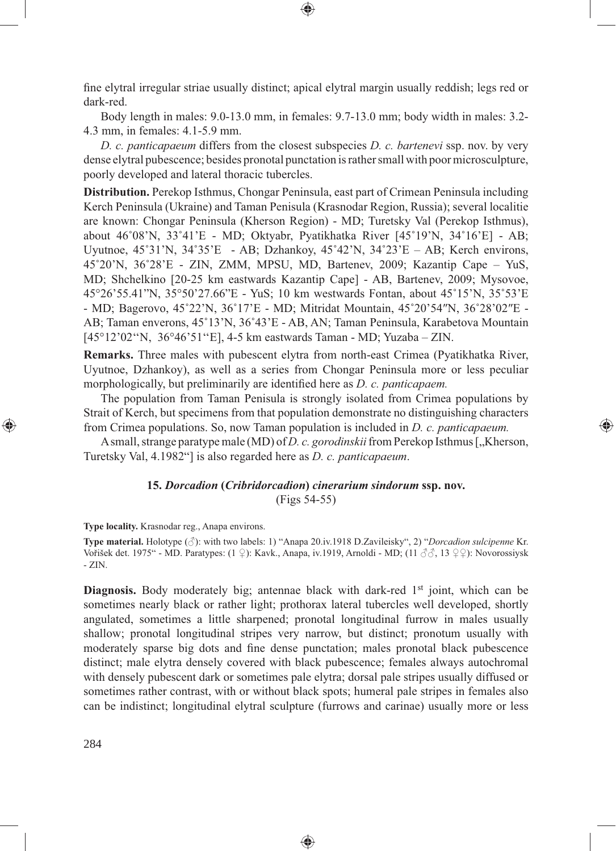fine elytral irregular striae usually distinct; apical elytral margin usually reddish; legs red or dark-red.

⊕

Body length in males: 9.0-13.0 mm, in females: 9.7-13.0 mm; body width in males: 3.2- 4.3 mm, in females: 4.1-5.9 mm.

*D. c. panticapaeum* differs from the closest subspecies *D. c. bartenevi* ssp. nov. by very dense elytral pubescence; besides pronotal punctation is rather small with poor microsculpture, poorly developed and lateral thoracic tubercles.

**Distribution.** Perekop Isthmus, Chongar Peninsula, east part of Crimean Peninsula including Kerch Peninsula (Ukraine) and Taman Penisula (Krasnodar Region, Russia); several localitie are known: Chongar Peninsula (Kherson Region) - MD; Turetsky Val (Perekop Isthmus), about 46˚08'N, 33˚41'E - MD; Oktyabr, Pyatikhatka River [45˚19'N, 34˚16'E] - AB; Uyutnoe,  $45^{\circ}31'$ N,  $34^{\circ}35'E$  - AB; Dzhankoy,  $45^{\circ}42'$ N,  $34^{\circ}23'E$  – AB; Kerch environs, 45˚20'N, 36˚28'E - ZIN, ZMM, MPSU, MD, Bartenev, 2009; Kazantip Cape – YuS, MD; Shchelkino [20-25 km eastwards Kazantip Cape] - AB, Bartenev, 2009; Mysovoe, 45°26'55.41"N, 35°50'27.66"E - YuS; 10 km westwards Fontan, about 45˚15'N, 35˚53'E - MD; Bagerovo, 45˚22'N, 36˚17'E - MD; Mitridat Mountain, 45˚20'54″N, 36˚28'02″E - AB; Taman enverons, 45˚13'N, 36˚43'E - AB, AN; Taman Peninsula, Karabetova Mountain [45°12'02''N, 36°46'51''E], 4-5 km eastwards Taman - MD; Yuzaba – ZIN.

**Remarks.** Three males with pubescent elytra from north-east Crimea (Pyatikhatka River, Uyutnoe, Dzhankoy), as well as a series from Chongar Peninsula more or less peculiar morphologically, but preliminarily are identified here as *D. c. panticapaem.* 

The population from Taman Penisula is strongly isolated from Crimea populations by Strait of Kerch, but specimens from that population demonstrate no distinguishing characters from Crimea populations. So, now Taman population is included in *D. c. panticapaeum.*

⊕

A small, strange paratype male (MD) of *D. c. gorodinskii* from Perekop Isthmus [., Kherson, Turetsky Val, 4.1982"] is also regarded here as *D. c. panticapaeum*.

# **15.** *Dorcadion* **(***Cribridorcadion***)** *cinerarium sindorum* **ssp. nov.** (Figs 54-55)

**Type locality.** Krasnodar reg., Anapa environs.

**Type material.** Holotype (♂): with two labels: 1) "Аnapa 20.iv.1918 D.Zavileisky", 2) "*Dorcadion sulcipenne* Kr. Vořišek det. 1975" - MD. Paratypes: (1 ♀): Kavk., Anapa, iv.1919, Arnoldi - MD; (11 33, 13 ♀♀): Novorossiysk - ZIN.

Diagnosis. Body moderately big; antennae black with dark-red 1<sup>st</sup> joint, which can be sometimes nearly black or rather light; prothorax lateral tubercles well developed, shortly angulated, sometimes a little sharpened; pronotal longitudinal furrow in males usually shallow; pronotal longitudinal stripes very narrow, but distinct; pronotum usually with moderately sparse big dots and fine dense punctation; males pronotal black pubescence distinct; male elytra densely covered with black pubescence; females always autochromal with densely pubescent dark or sometimes pale elytra; dorsal pale stripes usually diffused or sometimes rather contrast, with or without black spots; humeral pale stripes in females also can be indistinct; longitudinal elytral sculpture (furrows and carinae) usually more or less

◈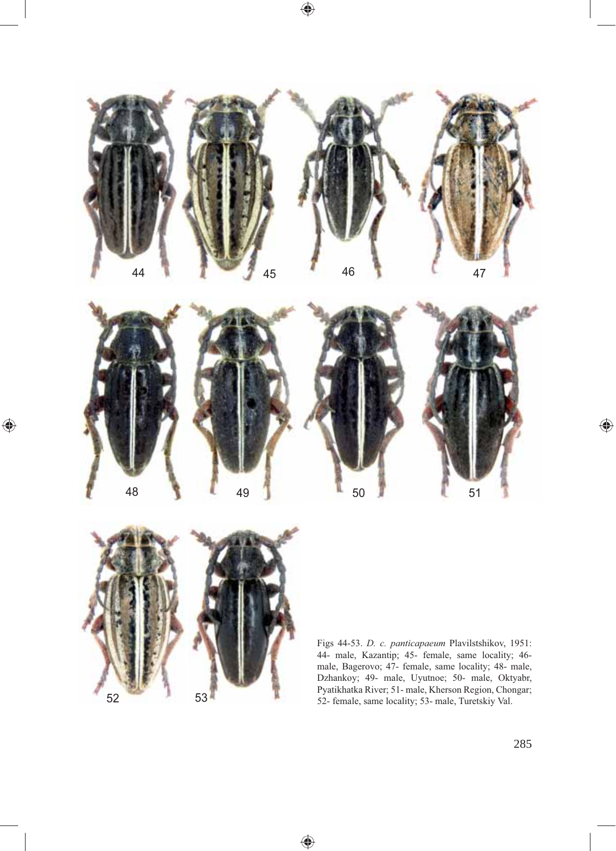

 $\bigoplus$ 

 $\bigoplus$ 



 $\bigoplus$ 

Figs 44-53. *D. c. panticapaeum* Plavilstshikov, 1951: 44- male, Kazantip; 45- female, same locality; 46 male, Bagerovo; 47- female, same locality; 48- male, Dzhankoy; 49- male, Uyutnoe; 50- male, Oktyabr, Pyatikhatka River; 51- male, Kherson Region, Chongar; 53<br>52- female, same locality; 53- male, Turetskiy Val.

 $\bigoplus$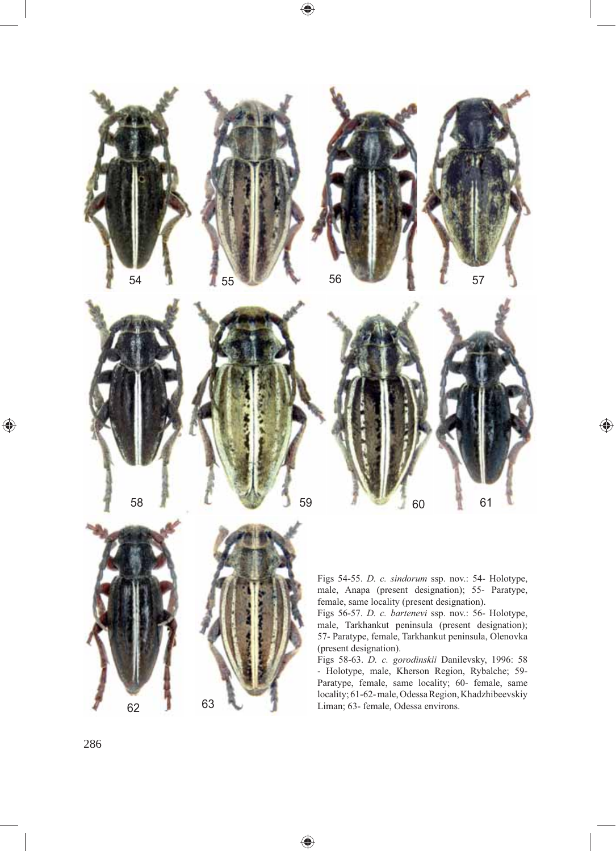

♠

 $\bigoplus$ 



Figs 54-55. *D. c. sindorum* ssp. nov.: 54- Holotype, male, Anapa (present designation); 55- Paratype, female, same locality (present designation).

 $\bigoplus$ 

Figs 56-57. *D. c. bartenevi* ssp. nov.: 56- Holotype, male, Tarkhankut peninsula (present designation); 57- Paratype, female, Tarkhankut peninsula, Olenovka (present designation).

Figs 58-63. *D. c. gorodinskii* Danilevsky, 1996: 58 - Holotype, male, Kherson Region, Rybalche; 59- Paratype, female, same locality; 60- female, same locality; 61-62- male, Odessa Region, Khadzhibeevskiy Liman; 63- female, Odessa environs.

286

 $\bigoplus$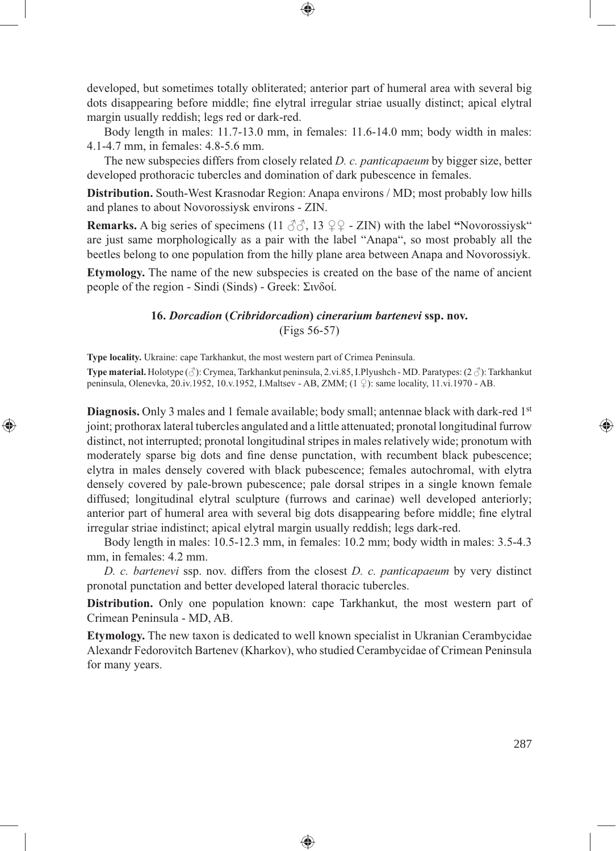developed, but sometimes totally obliterated; anterior part of humeral area with several big dots disappearing before middle; fine elytral irregular striae usually distinct; apical elytral margin usually reddish; legs red or dark-red.

⊕

Body length in males: 11.7-13.0 mm, in females: 11.6-14.0 mm; body width in males: 4.1-4.7 mm, in females: 4.8-5.6 mm.

The new subspecies differs from closely related *D. c. panticapaeum* by bigger size, better developed prothoracic tubercles and domination of dark pubescence in females.

**Distribution.** South-West Krasnodar Region: Anapa environs / MD; most probably low hills and planes to about Novorossiysk environs - ZIN.

**Remarks.** A big series of specimens (11  $\beta\beta$ , 13  $\varphi\varphi$  - ZIN) with the label "Novorossiysk" are just same morphologically as a pair with the label "Аnapa", so most probably all the beetles belong to one population from the hilly plane area between Anapa and Novorossiyk.

**Etymology.** The name of the new subspecies is created on the base of the name of ancient people of the region - Sindi (Sinds) - Greek: Σινδοί.

### **16.** *Dorcadion* **(***Cribridorcadion***)** *cinerarium bartenevi* **ssp. nov.** (Figs 56-57)

**Type locality.** Ukraine: cape Tarkhankut, the most western part of Crimea Peninsula.

⊕

**Type material.** Holotype (♂): Crymea, Tarkhankut peninsula, 2.vi.85, I.Plyushch - MD. Paratypes: (2 ♂): Tarkhankut peninsula, Olenevka, 20.iv.1952, 10.v.1952, I.Maltsev - AB, ZMM; (1 ♀): same locality, 11.vi.1970 - AB.

**Diagnosis.** Only 3 males and 1 female available; body small; antennae black with dark-red 1<sup>st</sup> joint; prothorax lateral tubercles angulated and a little attenuated; pronotal longitudinal furrow distinct, not interrupted; pronotal longitudinal stripes in males relatively wide; pronotum with moderately sparse big dots and fine dense punctation, with recumbent black pubescence; elytra in males densely covered with black pubescence; females autochromal, with elytra densely covered by pale-brown pubescence; pale dorsal stripes in a single known female diffused; longitudinal elytral sculpture (furrows and carinae) well developed anteriorly; anterior part of humeral area with several big dots disappearing before middle; fine elytral irregular striae indistinct; apical elytral margin usually reddish; legs dark-red.

Body length in males: 10.5-12.3 mm, in females: 10.2 mm; body width in males: 3.5-4.3 mm, in females: 4.2 mm.

*D. c. bartenevi* ssp. nov. differs from the closest *D. c. panticapaeum* by very distinct pronotal punctation and better developed lateral thoracic tubercles.

**Distribution.** Only one population known: cape Tarkhankut, the most western part of Crimean Peninsula - MD, AB.

**Etymology.** The new taxon is dedicated to well known specialist in Ukranian Cerambycidae Alexandr Fedorovitch Bartenev (Kharkov), who studied Cerambycidae of Crimean Peninsula for many years.

◈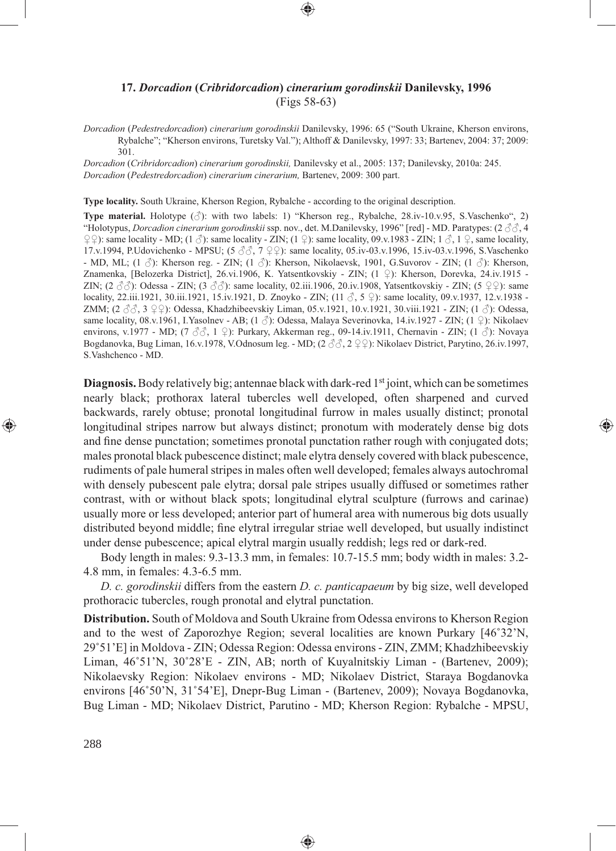## **17.** *Dorcadion* **(***Cribridorcadion***)** *cinerarium gorodinskii* **Danilevsky, 1996** (Figs 58-63)

*Dorcadion* (*Pedestredorcadion*) *cinerarium gorodinskii* Danilevsky, 1996: 65 ("South Ukraine, Kherson environs, Rybalche"; "Kherson environs, Turetsky Val."); Althoff & Danilevsky, 1997: 33; Bartenev, 2004: 37; 2009: 301.

*Dorcadion* (*Cribridorcadion*) *cinerarium gorodinskii,* Danilevsky et al., 2005: 137; Danilevsky, 2010a: 245. *Dorcadion* (*Pedestredorcadion*) *cinerarium cinerarium,* Bartenev, 2009: 300 part.

**Type locality.** South Ukraine, Kherson Region, Rybalche - according to the original description.

**Type material.** Holotype (♂): with two labels: 1) "Kherson reg., Rybalche, 28.iv-10.v.95, S.Vaschenko", 2) "Holotypus, *Dorcadion cinerarium gorodinskii* ssp. nov., det. M.Danilevsky, 1996" [red] - MD. Paratypes: (2 ♂♂, 4  $\varphi$   $\varphi$ ): same locality - MD; (1  $\varphi$ ): same locality - ZIN; (1  $\varphi$ ): same locality, 09.v.1983 - ZIN; 1  $\varphi$ , 1  $\varphi$ , same locality, 17.v.1994, P.Udovichenko - MPSU; (5 ♂♂, 7 ♀♀): same locality, 05.iv-03.v.1996, 15.iv-03.v.1996, S.Vaschenko - MD, ML; (1 ♂): Kherson reg. - ZIN; (1 ♂): Kherson, Nikolaevsk, 1901, G.Suvorov - ZIN; (1 ♂): Kherson, Znamenka, [Belozerka District], 26.vi.1906, K. Yatsentkovskiy - ZIN; (1 ♀): Kherson, Dorevka, 24.iv.1915 - ZIN;  $(2 \text{ } \partial \partial)$ : Odessa - ZIN;  $(3 \text{ } \partial \partial)$ : same locality, 02.iii.1906, 20.iv.1908, Yatsentkovskiy - ZIN;  $(5 \text{ } \mathcal{Q} \mathcal{Q})$ : same locality, 22.iii.1921, 30.iii.1921, 15.iv.1921, D. Znoyko - ZIN; (11 ♂, 5 ♀): same locality, 09.v.1937, 12.v.1938 - ZMM; (2  $\Im \Im$ , 3  $\Im$  2): Odessa, Khadzhibeevskiy Liman, 05.v.1921, 10.v.1921, 30.viii.1921 - ZIN; (1  $\Im$ ): Odessa, same locality, 08.v.1961, I.Yasolnev - AB; (1  $\Diamond$ ): Odessa, Malaya Severinovka, 14.iv.1927 - ZIN; (1  $\Diamond$ ): Nikolaev environs, v.1977 - MD; (7 ♂, 1 ♀): Purkary, Akkerman reg., 09-14.iv.1911, Chernavin - ZIN; (1 ♂): Novaya Bogdanovka, Bug Liman, 16.v.1978, V.Odnosum leg. - MD; (2 ♂♂, 2 ♀♀): Nikolaev District, Parytino, 26.iv.1997, S.Vashchenco - MD.

**Diagnosis.** Body relatively big; antennae black with dark-red 1<sup>st</sup> joint, which can be sometimes nearly black; prothorax lateral tubercles well developed, often sharpened and curved backwards, rarely obtuse; pronotal longitudinal furrow in males usually distinct; pronotal longitudinal stripes narrow but always distinct; pronotum with moderately dense big dots and fine dense punctation; sometimes pronotal punctation rather rough with conjugated dots; males pronotal black pubescence distinct; male elytra densely covered with black pubescence, rudiments of pale humeral stripes in males often well developed; females always autochromal with densely pubescent pale elytra; dorsal pale stripes usually diffused or sometimes rather contrast, with or without black spots; longitudinal elytral sculpture (furrows and carinae) usually more or less developed; anterior part of humeral area with numerous big dots usually distributed beyond middle; fine elytral irregular striae well developed, but usually indistinct under dense pubescence; apical elytral margin usually reddish; legs red or dark-red.

Body length in males: 9.3-13.3 mm, in females: 10.7-15.5 mm; body width in males: 3.2- 4.8 mm, in females: 4.3-6.5 mm.

*D. c. gorodinskii* differs from the eastern *D. c. panticapaeum* by big size, well developed prothoracic tubercles, rough pronotal and elytral punctation.

**Distribution.** South of Moldova and South Ukraine from Odessa environs to Kherson Region and to the west of Zaporozhye Region; several localities are known Purkary [46˚32'N, 29˚51'E] in Moldova - ZIN; Odessa Region: Odessa environs - ZIN, ZMM; Khadzhibeevskiy Liman,  $46^{\circ}51'$ N,  $30^{\circ}28'E$  - ZIN, AB; north of Kuyalnitskiy Liman - (Bartenev, 2009); Nikolaevsky Region: Nikolaev environs - МD; Nikolaev District, Staraya Bogdanovka environs [46˚50'N, 31˚54'E], Dnepr-Bug Liman - (Bartenev, 2009); Novaya Bogdanovka, Bug Liman - MD; Nikolaev District, Parutino - MD; Kherson Region: Rybalche - MPSU,

⊕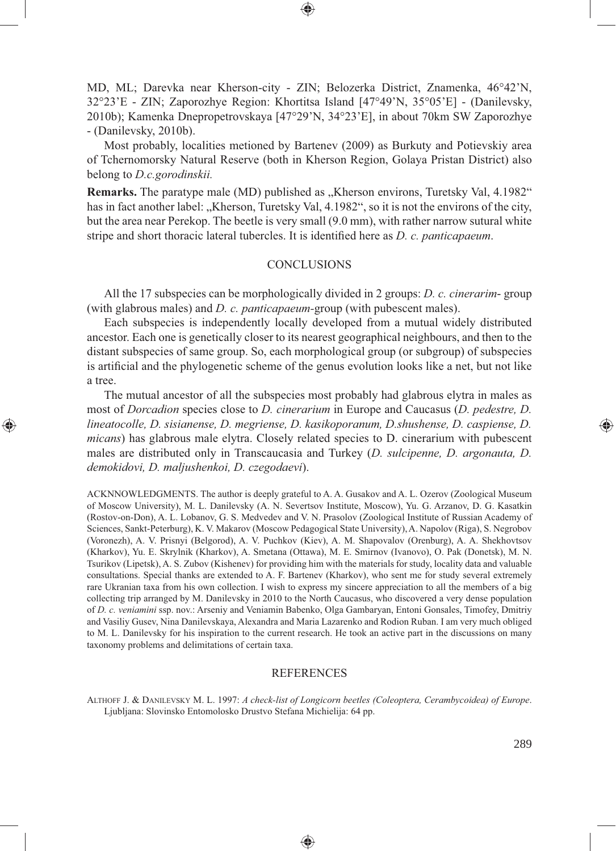MD, ML; Darevka near Kherson-city - ZIN; Belozerka District, Znamenka, 46°42'N, 32°23'E - ZIN; Zaporozhye Region: Khortitsa Island [47°49'N, 35°05'E] - (Danilevsky, 2010b); Kamenka Dnepropetrovskaya [47°29'N, 34°23'E], in about 70km SW Zaporozhye - (Danilevsky, 2010b).

Most probably, localities metioned by Bartenev (2009) as Burkuty and Potievskiy area of Tchernomorsky Natural Reserve (both in Kherson Region, Golaya Pristan District) also belong to *D.c.gorodinskii.* 

**Remarks.** The paratype male (MD) published as "Kherson environs, Turetsky Val, 4.1982" has in fact another label: "Kherson, Turetsky Val, 4.1982", so it is not the environs of the city, but the area near Perekop. The beetle is very small (9.0 mm), with rather narrow sutural white stripe and short thoracic lateral tubercles. It is identified here as *D. c. panticapaeum*.

#### **CONCLUSIONS**

All the 17 subspecies can be morphologically divided in 2 groups: *D. c. cinerarim*- group (with glabrous males) and *D. c. panticapaeum-*group (with pubescent males).

Each subspecies is independently locally developed from a mutual widely distributed ancestor. Each one is genetically closer to its nearest geographical neighbours, and then to the distant subspecies of same group. So, each morphological group (or subgroup) of subspecies is artificial and the phylogenetic scheme of the genus evolution looks like a net, but not like a tree.

The mutual ancestor of all the subspecies most probably had glabrous elytra in males as most of *Dorcadion* species close to *D. cinerarium* in Europe and Caucasus (*D. pedestre, D. lineatocolle, D. sisianense, D. megriense, D. kasikoporanum, D.shushense, D. caspiense, D. micans*) has glabrous male elytra. Closely related species to D. cinerarium with pubescent males are distributed only in Transcaucasia and Turkey (*D. sulcipenne, D. argonauta, D. demokidovi, D. maljushenkoi, D. czegodaevi*).

⊕

ACKNNOWLEDGMENTS. The author is deeply grateful to A. A. Gusakov and A. L. Ozerov (Zoological Museum of Moscow University), M. L. Danilevsky (A. N. Severtsov Institute, Moscow), Yu. G. Arzanov, D. G. Kasatkin (Rostov-on-Don), A. L. Lobanov, G. S. Medvedev and V. N. Prasolov (Zoological Institute of Russian Academy of Sciences, Sankt-Peterburg), K. V. Makarov (Moscow Pedagogical State University), A. Napolov (Riga), S. Negrobov (Voronezh), A. V. Prisnyi (Belgorod), A. V. Puchkov (Kiev), A. M. Shapovalov (Orenburg), A. A. Shekhovtsov (Kharkov), Yu. E. Skrylnik (Kharkov), A. Smetana (Ottawa), M. E. Smirnov (Ivanovo), O. Pak (Donetsk), M. N. Tsurikov (Lipetsk), A. S. Zubov (Kishenev) for providing him with the materials for study, locality data and valuable consultations. Special thanks are extended to A. F. Bartenev (Kharkov), who sent me for study several extremely rare Ukranian taxa from his own collection. I wish to express my sincere appreciation to all the members of a big collecting trip arranged by M. Danilevsky in 2010 to the North Caucasus, who discovered a very dense population of *D. c. veniamini* ssp. nov.: Arseniy and Veniamin Babenko, Olga Gambaryan, Entoni Gonsales, Timofey, Dmitriy and Vasiliy Gusev, Nina Danilevskaya, Alexandra and Maria Lazarenko and Rodion Ruban. I am very much obliged to M. L. Danilevsky for his inspiration to the current research. He took an active part in the discussions on many taxonomy problems and delimitations of certain taxa.

#### REFERENCES

ALTHOFF J. & DANILEVSKY M. L. 1997: *A check-list of Longicorn beetles (Coleoptera, Cerambycoidea) of Europe*. Ljubljana: Slovinsko Entomolosko Drustvo Stefana Michielija: 64 pp.

⊕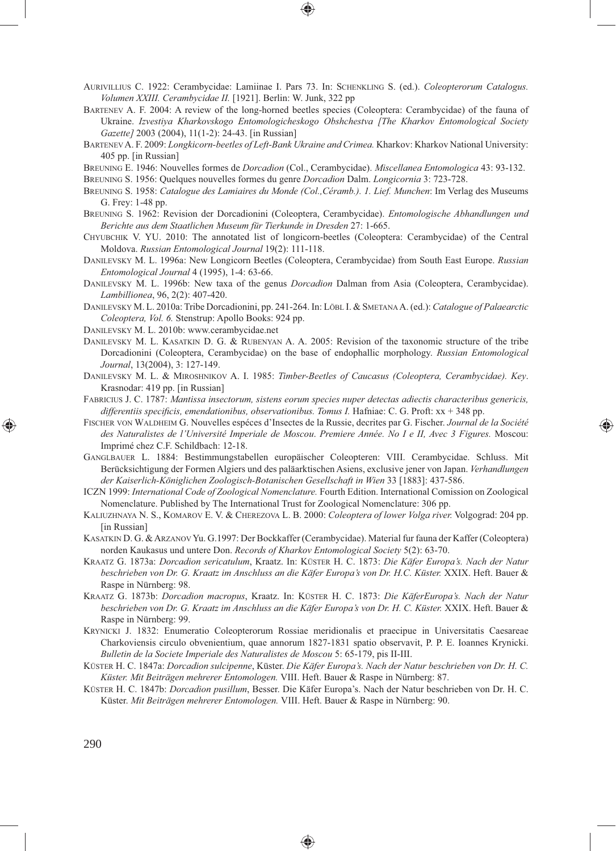- AURIVILLIUS C. 1922: Cerambycidae: Lamiinae I. Pars 73. In: SCHENKLING S. (ed.). *Coleopterorum Catalogus. Volumen XXIII. Cerambycidae II.* [1921]. Berlin: W. Junk, 322 pp
- BARTENEV A. F. 2004: A review of the long-horned beetles species (Coleoptera: Cerambycidae) of the fauna of Ukraine. *Izvestiya Kharkovskogo Entomologicheskogo Obshchestva [The Kharkov Entomological Society Gazette]* 2003 (2004), 11(1-2): 24-43. [in Russian]
- BARTENEV A. F. 2009: *Longkicorn-beetles of Left-Bank Ukraine and Crimea.* Kharkov: Kharkov National University: 405 pp. [in Russian]
- BREUNING E. 1946: Nouvelles formes de *Dorcadion* (Col., Cerambycidae). *Miscellanea Entomologica* 43: 93-132.

BREUNING S. 1956: Quelques nouvelles formes du genre *Dorcadion* Dalm. *Longicornia* 3: 723-728.

- BREUNING S. 1958: *Catalogue des Lamiaires du Monde (Col.,Céramb.). 1. Lief. Munchen*: Im Verlag des Museums G. Frey: 1-48 pp.
- BREUNING S. 1962: Revision der Dorcadionini (Coleoptera, Cerambycidae). *Entomologische Abhandlungen und Berichte aus dem Staatlichen Museum für Tierkunde in Dresden* 27: 1-665.
- CHYUBCHIK V. YU. 2010: The annotated list of longicorn-beetles (Coleoptera: Cerambycidae) of the Central Moldova. *Russian Entomological Journal* 19(2): 111-118.
- DANILEVSKY M. L. 1996a: New Longicorn Beetles (Coleoptera, Cerambycidae) from South East Europe. *Russian Entomological Journal* 4 (1995), 1-4: 63-66.
- DANILEVSKY M. L. 1996b: New taxa of the genus *Dorcadion* Dalman from Asia (Coleoptera, Cerambycidae). *Lambillionea*, 96, 2(2): 407-420.
- DANILEVSKY M. L. 2010a: Tribe Dorcadionini, pp. 241-264. In: LÖBL I. & SMETANA A. (ed.): *Catalogue of Palaearctic Coleoptera, Vol. 6.* Stenstrup: Apollo Books: 924 pp.
- DANILEVSKY M. L. 2010b: www.cerambycidae.net
- DANILEVSKY M. L. KASATKIN D. G. & RUBENYAN A. A. 2005: Revision of the taxonomic structure of the tribe Dorcadionini (Coleoptera, Cerambycidae) on the base of endophallic morphology. *Russian Entomological Journal*, 13(2004), 3: 127-149.
- DANILEVSKY M. L. & MIROSHNIKOV A. I. 1985: *Timber-Beetles of Caucasus (Coleoptera, Cerambycidae). Key*. Krasnodar: 419 pp. [in Russian]
- FABRICIUS J. C. 1787: *Mantissa insectorum, sistens eorum species nuper detectas adiectis characteribus genericis,*  differentiis specificis, emendationibus, observationibus. Tomus I. Hafniae: C. G. Proft: xx + 348 pp.
- FISCHER VON WALDHEIM G. Nouvelles espéces d'Insectes de la Russie, decrites par G. Fischer. *Journal de la Société des Naturalistes de l'Université Imperiale de Moscou*. *Premiere Année. No I e II, Avec 3 Figures.* Moscou: Imprimé chez C.F. Schildbach: 12-18.

⊕

- GANGLBAUER L. 1884: Bestimmungstabellen europäischer Coleopteren: VIII. Cerambycidae. Schluss. Mit Berücksichtigung der Formen Algiers und des paläarktischen Asiens, exclusive jener von Japan. *Verhandlungen der Kaiserlich-Königlichen Zoologisch-Botanischen Gesellschaft in Wien* 33 [1883]: 437-586.
- ICZN 1999: *International Code of Zoological Nomenclature.* Fourth Edition. International Comission on Zoological Nomenclature. Published by The International Trust for Zoological Nomenclature: 306 pp.
- KALIUZHNAYA N. S., KOMAROV E. V. & CHEREZOVA L. B. 2000: *Coleoptera of lower Volga river.* Volgograd: 204 pp. [in Russian]
- KASATKIN D. G. & ARZANOV Yu. G.1997: Der Bockkaffer (Cerambycidae). Material fur fauna der Kaffer (Coleoptera) norden Kaukasus und untere Don. *Records of Kharkov Entomological Society* 5(2): 63-70.
- KRAATZ G. 1873a: *Dorcadion sericatulum*, Kraatz. In: KÜSTER H. C. 1873: *Die Käfer Europa's. Nach der Natur beschrieben von Dr. G. Kraatz im Anschluss an die Käfer Europa's von Dr. H.C. Küster.* XXIX. Heft. Bauer & Raspe in Nürnberg: 98.
- KRAATZ G. 1873b: *Dorcadion macropus*, Kraatz. In: KÜSTER H. C. 1873: *Die KäferEuropa's. Nach der Natur*  beschrieben von Dr. G. Kraatz im Anschluss an die Käfer Europa's von Dr. H. C. Küster. XXIX. Heft. Bauer & Raspe in Nürnberg: 99.
- KRYNICKI J. 1832: Enumeratio Coleopterorum Rossiae meridionalis et praecipue in Universitatis Caesareae Charkoviensis circulo obvenientium, quae annorum 1827-1831 spatio observavit, P. P. E. Ioannes Krynicki. *Bulletin de la Societe Imperiale des Naturalistes de Moscou* 5: 65-179, pis II-III.
- KÜSTER H. C. 1847a: *Dorcadion sulcipenne*, Küster. *Die Käfer Europa's. Nach der Natur beschrieben von Dr. H. C. Küster. Mit Beiträgen mehrerer Entomologen.* VIII. Heft. Bauer & Raspe in Nürnberg: 87.
- KÜSTER H. C. 1847b: *Dorcadion pusillum*, Besser. Die Käfer Europa's. Nach der Natur beschrieben von Dr. H. C. Küster. *Mit Beiträgen mehrerer Entomologen.* VIII. Heft. Bauer & Raspe in Nürnberg: 90.

⊕

290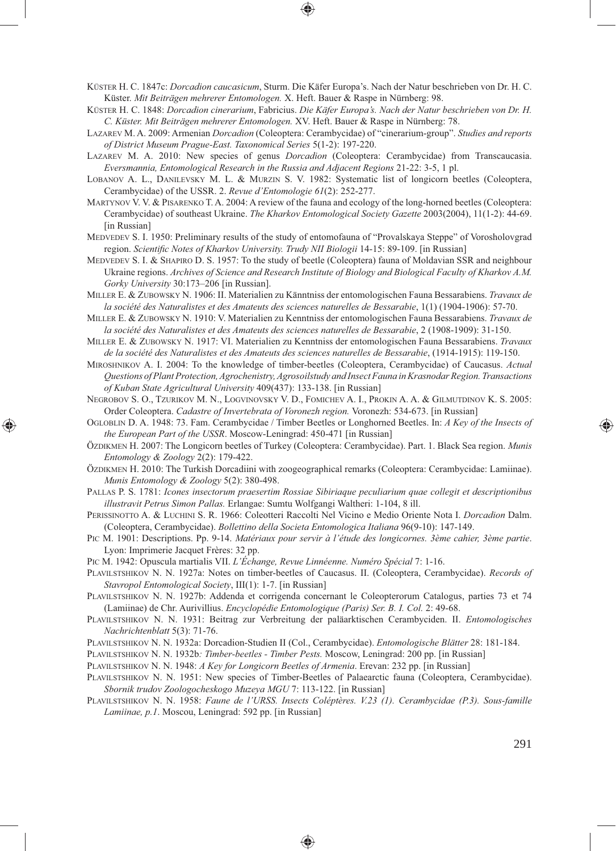KÜSTER H. C. 1847c: *Dorcadion caucasicum*, Sturm. Die Käfer Europa's. Nach der Natur beschrieben von Dr. H. C. Küster. *Mit Beiträgen mehrerer Entomologen.* X. Heft. Bauer & Raspe in Nürnberg: 98.

- KÜSTER H. C. 1848: *Dorcadion cinerarium*, Fabricius. *Die Käfer Europa's. Nach der Natur beschrieben von Dr. H. C. Küster. Mit Beiträgen mehrerer Entomologen.* XV. Heft. Bauer & Raspe in Nürnberg: 78.
- LAZAREV M. A. 2009: Armenian *Dorcadion* (Coleoptera: Cerambycidae) of "cinerarium-group". *Studies and reports of District Museum Prague-East. Taxonomical Series* 5(1-2): 197-220.
- LAZAREV M. A. 2010: New species of genus *Dorcadion* (Coleoptera: Cerambycidae) from Transcaucasia. *Eversmannia, Entomological Research in the Russia and Adjacent Regions* 21-22: 3-5, 1 pl.
- LOBANOV A. L., DANILEVSKY M. L. & MURZIN S. V. 1982: Systematic list of longicorn beetles (Coleoptera, Cerambycidae) of the USSR. 2. *Revue d'Entomologie 61*(2): 252-277.
- MARTYNOV V. V. & PISARENKO T. A. 2004: A review of the fauna and ecology of the long-horned beetles (Coleoptera: Cerambycidae) of southeast Ukraine. *The Kharkov Entomological Society Gazette* 2003(2004), 11(1-2): 44-69. [in Russian]
- MEDVEDEV S. I. 1950: Preliminary results of the study of entomofauna of "Provalskaya Steppe" of Vorosholovgrad region. *Scientific Notes of Kharkov University. Trudy NII Biologii* 14-15: 89-109. [in Russian]
- MEDVEDEV S. I. & SHAPIRO D. S. 1957: To the study of beetle (Coleoptera) fauna of Moldavian SSR and neighbour Ukraine regions. *Archives of Science and Research Institute of Biology and Biological Faculty of Kharkov A.M. Gorky University* 30:173–206 [in Russian].
- MILLER E. & ZUBOWSKY N. 1906: II. Materialien zu Känntniss der entomologischen Fauna Bessarabiens. *Travaux de la société des Naturalistes et des Amateuts des sciences naturelles de Bessarabie*, 1(1) (1904-1906): 57-70.
- MILLER E. & ZUBOWSKY N. 1910: V. Materialien zu Kenntniss der entomologischen Fauna Bessarabiens. *Travaux de la société des Naturalistes et des Amateuts des sciences naturelles de Bessarabie*, 2 (1908-1909): 31-150.
- MILLER E. & ZUBOWSKY N. 1917: VI. Materialien zu Kenntniss der entomologischen Fauna Bessarabiens. *Travaux de la société des Naturalistes et des Amateuts des sciences naturelles de Bessarabie*, (1914-1915): 119-150.
- MIROSHNIKOV A. I. 2004: To the knowledge of timber-beetles (Coleoptera, Cerambycidae) of Caucasus. *Actual Questions of Plant Protection, Agrochenistry, Agrosoilstudy and Insect Fauna in Krasnodar Region. Transactions of Kuban State Agricultural University* 409(437): 133-138. [in Russian]
- NEGROBOV S. O., TZURIKOV M. N., LOGVINOVSKY V. D., FOMICHEV A. I., PROKIN A. A. & GILMUTDINOV K. S. 2005: Order Coleoptera. *Cadastre of Invertebrata of Voronezh region.* Voronezh: 534-673. [in Russian]
- OGLOBLIN D. A. 1948: 73. Fam. Cerambycidae / Timber Beetles or Longhorned Beetles. In: *A Key of the Insects of the European Part of the USSR*. Moscow-Leningrad: 450-471 [in Russian]
- ÖZDIKMEN H. 2007: The Longicorn beetles of Turkey (Coleoptera: Cerambycidae). Part. 1. Black Sea region. *Munis Entomology & Zoology* 2(2): 179-422.
- ÖZDIKMEN H. 2010: The Turkish Dorcadiini with zoogeographical remarks (Coleoptera: Cerambycidae: Lamiinae). *Munis Entomology & Zoology* 5(2): 380-498.
- PALLAS P. S. 1781: *Icones insectorum praesertim Rossiae Sibiriaque peculiarium quae collegit et descriptionibus illustravit Petrus Simon Pallas.* Erlangae: Sumtu Wolfgangi Waltheri: 1-104, 8 ill.
- PERISSINOTTO A. & LUCHINI S. R. 1966: Coleotteri Raccolti Nel Vicino e Medio Oriente Nota I. *Dorcadion* Dalm. (Coleoptera, Cerambycidae). *Bollettino della Societa Entomologica Italiana* 96(9-10): 147-149.
- PIC M. 1901: Descriptions. Pp. 9-14. *Matériaux pour servir à l'étude des longicornes. 3ème cahier, 3ème partie*. Lyon: Imprimerie Jacquet Frères: 32 pp.
- PIC M. 1942: Opuscula martialis VII. *L'Échange, Revue Linnéenne. Numéro Spécial* 7: 1-16.
- PLAVILSTSHIKOV N. N. 1927a: Notes on timber-beetles of Caucasus. II. (Coleoptera, Cerambycidae). *Records of Stavropol Entomological Society*, III(1): 1-7. [in Russian]
- PLAVILSTSHIKOV N. N. 1927b: Addenda et corrigenda concernant le Coleopterorum Catalogus, parties 73 et 74 (Lamiinae) de Chr. Aurivillius. *Encyclopédie Entomologique (Paris) Ser. B. I. Col.* 2: 49-68.
- PLAVILSTSHIKOV N. N. 1931: Beitrag zur Verbreitung der paläarktischen Cerambyciden. II. *Entomologisches Nachrichtenblatt* 5(3): 71-76.
- PLAVILSTSHIKOV N. N. 1932a: Dorcadion-Studien II (Col., Cerambycidae). *Entomologische Blätter* 28: 181-184.
- PLAVILSTSHIKOV N. N. 1932b*: Timber-beetles Timber Pests.* Moscow, Leningrad: 200 pp. [in Russian]
	- PLAVILSTSHIKOV N. N. 1948: *A Key for Longicorn Beetles of Armenia*. Erevan: 232 pp. [in Russian]
	- PLAVILSTSHIKOV N. N. 1951: New species of Timber-Beetles of Palaearctic fauna (Coleoptera, Cerambycidae). *Sbornik trudov Zoologocheskogo Muzeya MGU* 7: 113-122. [in Russian]
	- PLAVILSTSHIKOV N. N. 1958: *Faune de l'URSS. Insects Coléptères. V.23 (1). Cerambycidae (P.3). Sous-famille Lamiinae, p.1*. Moscou, Leningrad: 592 pp. [in Russian]

⊕